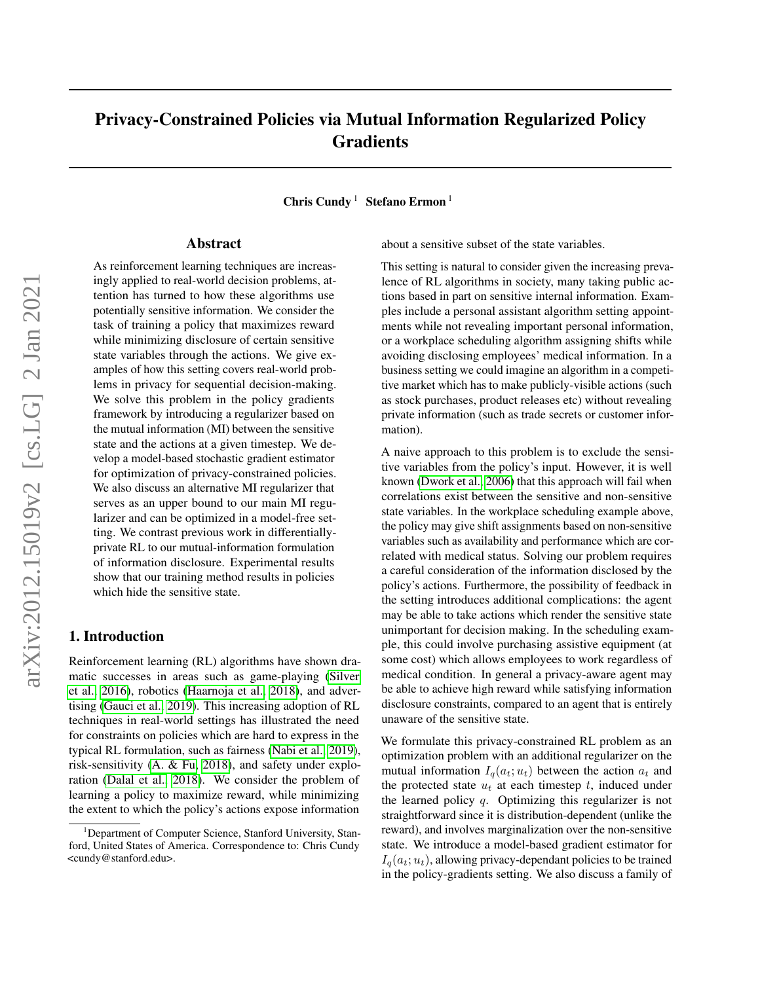# Privacy-Constrained Policies via Mutual Information Regularized Policy **Gradients**

Chris Cundy<sup>1</sup> Stefano Ermon<sup>1</sup>

### Abstract

As reinforcement learning techniques are increasingly applied to real-world decision problems, attention has turned to how these algorithms use potentially sensitive information. We consider the task of training a policy that maximizes reward while minimizing disclosure of certain sensitive state variables through the actions. We give examples of how this setting covers real-world problems in privacy for sequential decision-making. We solve this problem in the policy gradients framework by introducing a regularizer based on the mutual information (MI) between the sensitive state and the actions at a given timestep. We develop a model-based stochastic gradient estimator for optimization of privacy-constrained policies. We also discuss an alternative MI regularizer that serves as an upper bound to our main MI regularizer and can be optimized in a model-free setting. We contrast previous work in differentiallyprivate RL to our mutual-information formulation of information disclosure. Experimental results show that our training method results in policies which hide the sensitive state.

# 1. Introduction

Reinforcement learning (RL) algorithms have shown dramatic successes in areas such as game-playing [\(Silver](#page-9-0) [et al., 2016\)](#page-9-0), robotics [\(Haarnoja et al., 2018\)](#page-8-0), and advertising [\(Gauci et al., 2019\)](#page-8-1). This increasing adoption of RL techniques in real-world settings has illustrated the need for constraints on policies which are hard to express in the typical RL formulation, such as fairness [\(Nabi et al., 2019\)](#page-8-2), risk-sensitivity [\(A. & Fu, 2018\)](#page-7-0), and safety under exploration [\(Dalal et al., 2018\)](#page-8-3). We consider the problem of learning a policy to maximize reward, while minimizing the extent to which the policy's actions expose information

about a sensitive subset of the state variables.

This setting is natural to consider given the increasing prevalence of RL algorithms in society, many taking public actions based in part on sensitive internal information. Examples include a personal assistant algorithm setting appointments while not revealing important personal information, or a workplace scheduling algorithm assigning shifts while avoiding disclosing employees' medical information. In a business setting we could imagine an algorithm in a competitive market which has to make publicly-visible actions (such as stock purchases, product releases etc) without revealing private information (such as trade secrets or customer information).

A naive approach to this problem is to exclude the sensitive variables from the policy's input. However, it is well known [\(Dwork et al., 2006\)](#page-8-4) that this approach will fail when correlations exist between the sensitive and non-sensitive state variables. In the workplace scheduling example above, the policy may give shift assignments based on non-sensitive variables such as availability and performance which are correlated with medical status. Solving our problem requires a careful consideration of the information disclosed by the policy's actions. Furthermore, the possibility of feedback in the setting introduces additional complications: the agent may be able to take actions which render the sensitive state unimportant for decision making. In the scheduling example, this could involve purchasing assistive equipment (at some cost) which allows employees to work regardless of medical condition. In general a privacy-aware agent may be able to achieve high reward while satisfying information disclosure constraints, compared to an agent that is entirely unaware of the sensitive state.

We formulate this privacy-constrained RL problem as an optimization problem with an additional regularizer on the mutual information  $I_q(a_t; u_t)$  between the action  $a_t$  and the protected state  $u_t$  at each timestep  $t$ , induced under the learned policy  $q$ . Optimizing this regularizer is not straightforward since it is distribution-dependent (unlike the reward), and involves marginalization over the non-sensitive state. We introduce a model-based gradient estimator for  $I_q(a_t; u_t)$ , allowing privacy-dependant policies to be trained in the policy-gradients setting. We also discuss a family of

<sup>&</sup>lt;sup>1</sup>Department of Computer Science, Stanford University, Stanford, United States of America. Correspondence to: Chris Cundy <cundy@stanford.edu>.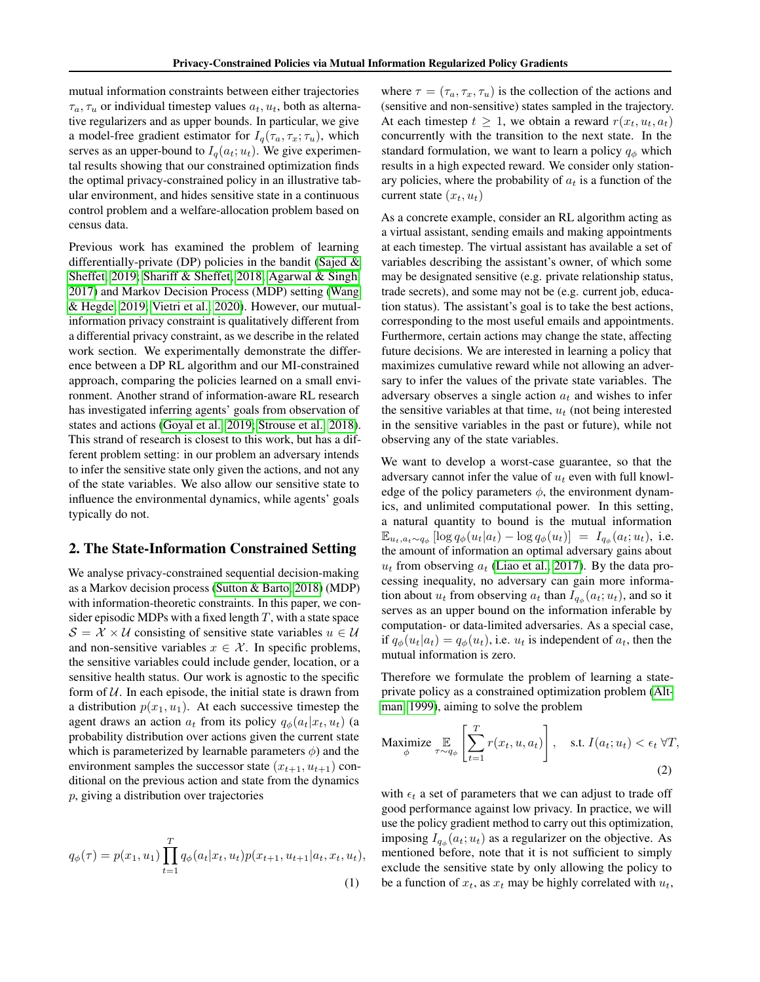mutual information constraints between either trajectories  $\tau_a, \tau_u$  or individual timestep values  $a_t, u_t$ , both as alternative regularizers and as upper bounds. In particular, we give a model-free gradient estimator for  $I_q(\tau_a, \tau_x; \tau_u)$ , which serves as an upper-bound to  $I_q(a_t; u_t)$ . We give experimental results showing that our constrained optimization finds the optimal privacy-constrained policy in an illustrative tabular environment, and hides sensitive state in a continuous control problem and a welfare-allocation problem based on census data.

Previous work has examined the problem of learning differentially-private (DP) policies in the bandit [\(Sajed &](#page-9-1) [Sheffet, 2019;](#page-9-1) [Shariff & Sheffet, 2018;](#page-9-2) [Agarwal & Singh,](#page-7-1) [2017\)](#page-7-1) and Markov Decision Process (MDP) setting [\(Wang](#page-9-3) [& Hegde, 2019;](#page-9-3) [Vietri et al., 2020\)](#page-9-4). However, our mutualinformation privacy constraint is qualitatively different from a differential privacy constraint, as we describe in the related work section. We experimentally demonstrate the difference between a DP RL algorithm and our MI-constrained approach, comparing the policies learned on a small environment. Another strand of information-aware RL research has investigated inferring agents' goals from observation of states and actions [\(Goyal et al., 2019;](#page-8-5) [Strouse et al., 2018\)](#page-9-5). This strand of research is closest to this work, but has a different problem setting: in our problem an adversary intends to infer the sensitive state only given the actions, and not any of the state variables. We also allow our sensitive state to influence the environmental dynamics, while agents' goals typically do not.

# 2. The State-Information Constrained Setting

We analyse privacy-constrained sequential decision-making as a Markov decision process [\(Sutton & Barto, 2018\)](#page-9-6) (MDP) with information-theoretic constraints. In this paper, we consider episodic MDPs with a fixed length  $T$ , with a state space  $S = \mathcal{X} \times \mathcal{U}$  consisting of sensitive state variables  $u \in \mathcal{U}$ and non-sensitive variables  $x \in \mathcal{X}$ . In specific problems, the sensitive variables could include gender, location, or a sensitive health status. Our work is agnostic to the specific form of  $U$ . In each episode, the initial state is drawn from a distribution  $p(x_1, u_1)$ . At each successive timestep the agent draws an action  $a_t$  from its policy  $q_\phi(a_t|x_t, u_t)$  (a probability distribution over actions given the current state which is parameterized by learnable parameters  $\phi$ ) and the environment samples the successor state  $(x_{t+1}, u_{t+1})$  conditional on the previous action and state from the dynamics p, giving a distribution over trajectories

$$
q_{\phi}(\tau) = p(x_1, u_1) \prod_{t=1}^{T} q_{\phi}(a_t | x_t, u_t) p(x_{t+1}, u_{t+1} | a_t, x_t, u_t),
$$
\n(1)

where  $\tau = (\tau_a, \tau_x, \tau_u)$  is the collection of the actions and (sensitive and non-sensitive) states sampled in the trajectory. At each timestep  $t \geq 1$ , we obtain a reward  $r(x_t, u_t, a_t)$ concurrently with the transition to the next state. In the standard formulation, we want to learn a policy  $q_{\phi}$  which results in a high expected reward. We consider only stationary policies, where the probability of  $a_t$  is a function of the current state  $(x_t, u_t)$ 

As a concrete example, consider an RL algorithm acting as a virtual assistant, sending emails and making appointments at each timestep. The virtual assistant has available a set of variables describing the assistant's owner, of which some may be designated sensitive (e.g. private relationship status, trade secrets), and some may not be (e.g. current job, education status). The assistant's goal is to take the best actions, corresponding to the most useful emails and appointments. Furthermore, certain actions may change the state, affecting future decisions. We are interested in learning a policy that maximizes cumulative reward while not allowing an adversary to infer the values of the private state variables. The adversary observes a single action  $a_t$  and wishes to infer the sensitive variables at that time,  $u_t$  (not being interested in the sensitive variables in the past or future), while not observing any of the state variables.

We want to develop a worst-case guarantee, so that the adversary cannot infer the value of  $u_t$  even with full knowledge of the policy parameters  $\phi$ , the environment dynamics, and unlimited computational power. In this setting, a natural quantity to bound is the mutual information  $\mathbb{E}_{u_t, a_t \sim q_{\phi}} [\log q_{\phi}(u_t|a_t) - \log q_{\phi}(u_t)] = I_{q_{\phi}}(a_t; u_t)$ , i.e. the amount of information an optimal adversary gains about  $u_t$  from observing  $a_t$  [\(Liao et al., 2017\)](#page-8-6). By the data processing inequality, no adversary can gain more information about  $u_t$  from observing  $a_t$  than  $I_{q_\phi}(a_t; u_t)$ , and so it serves as an upper bound on the information inferable by computation- or data-limited adversaries. As a special case, if  $q_{\phi}(u_t|a_t) = q_{\phi}(u_t)$ , i.e.  $u_t$  is independent of  $a_t$ , then the mutual information is zero.

Therefore we formulate the problem of learning a stateprivate policy as a constrained optimization problem [\(Alt](#page-8-7)[man, 1999\)](#page-8-7), aiming to solve the problem

<span id="page-1-0"></span>
$$
\underset{\phi}{\text{Maximize}} \underset{\tau \sim q_{\phi}}{\mathbb{E}} \left[ \sum_{t=1}^{T} r(x_t, u, a_t) \right], \quad \text{s.t. } I(a_t; u_t) < \epsilon_t \,\forall T,
$$
\n
$$
\tag{2}
$$

with  $\epsilon_t$  a set of parameters that we can adjust to trade off good performance against low privacy. In practice, we will use the policy gradient method to carry out this optimization, imposing  $I_{q_{\phi}}(a_t; u_t)$  as a regularizer on the objective. As mentioned before, note that it is not sufficient to simply exclude the sensitive state by only allowing the policy to be a function of  $x_t$ , as  $x_t$  may be highly correlated with  $u_t$ ,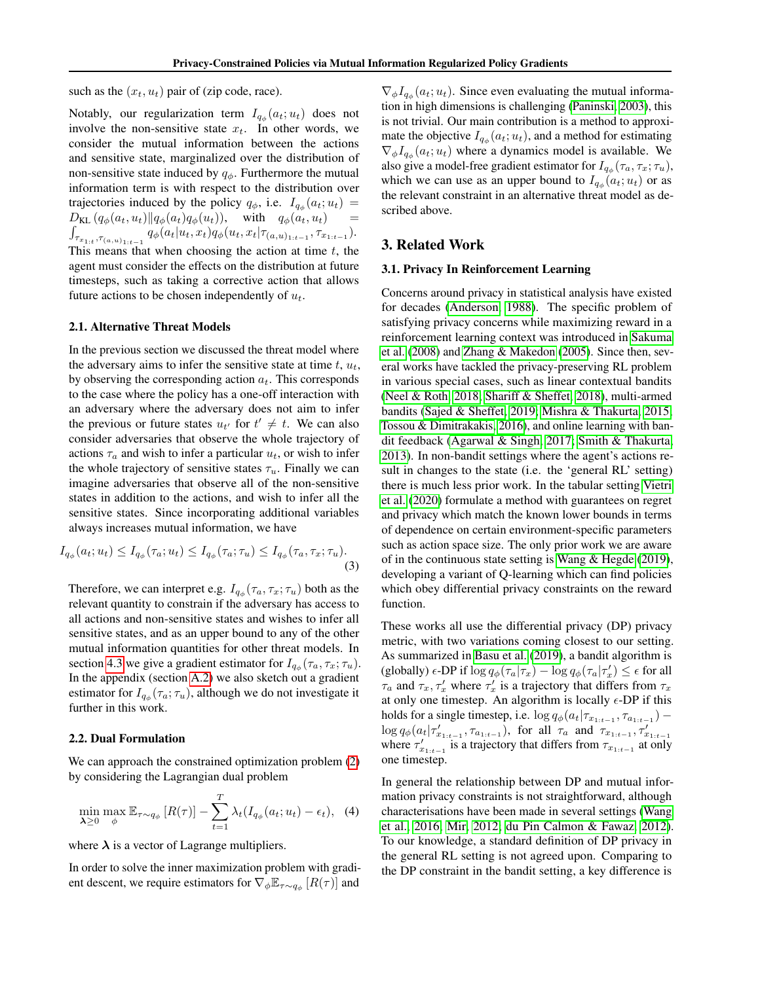such as the  $(x_t, u_t)$  pair of (zip code, race).

Notably, our regularization term  $I_{q_{\phi}}(a_t; u_t)$  does not involve the non-sensitive state  $x_t$ . In other words, we consider the mutual information between the actions and sensitive state, marginalized over the distribution of non-sensitive state induced by  $q_{\phi}$ . Furthermore the mutual information term is with respect to the distribution over trajectories induced by the policy  $q_{\phi}$ , i.e.  $I_{q_{\phi}}(a_t; u_t) =$  $D_{\text{KL}}(q_{\phi}(a_t, u_t) || q_{\phi}(a_t)q_{\phi}(u_t)), \text{ with } q_{\phi}(a_t, u_t)$  $\int_{\tau_{x_{1:t}},\tau_{(a,u)_{1:t-1}}} q_{\phi}(a_t|u_t,x_t) q_{\phi}(u_t,x_t|\tau_{(a,u)_{1:t-1}},\tau_{x_{1:t-1}}).$ This means that when choosing the action at time  $t$ , the agent must consider the effects on the distribution at future timesteps, such as taking a corrective action that allows future actions to be chosen independently of  $u_t$ .

#### <span id="page-2-0"></span>2.1. Alternative Threat Models

In the previous section we discussed the threat model where the adversary aims to infer the sensitive state at time  $t$ ,  $u_t$ , by observing the corresponding action  $a_t$ . This corresponds to the case where the policy has a one-off interaction with an adversary where the adversary does not aim to infer the previous or future states  $u_{t'}$  for  $t' \neq t$ . We can also consider adversaries that observe the whole trajectory of actions  $\tau_a$  and wish to infer a particular  $u_t$ , or wish to infer the whole trajectory of sensitive states  $\tau_u$ . Finally we can imagine adversaries that observe all of the non-sensitive states in addition to the actions, and wish to infer all the sensitive states. Since incorporating additional variables always increases mutual information, we have

$$
I_{q_{\phi}}(a_t; u_t) \le I_{q_{\phi}}(\tau_a; u_t) \le I_{q_{\phi}}(\tau_a; \tau_u) \le I_{q_{\phi}}(\tau_a, \tau_x; \tau_u).
$$
\n(3)

Therefore, we can interpret e.g.  $I_{q_{\phi}}(\tau_a, \tau_x; \tau_u)$  both as the relevant quantity to constrain if the adversary has access to all actions and non-sensitive states and wishes to infer all sensitive states, and as an upper bound to any of the other mutual information quantities for other threat models. In section [4.3](#page-4-0) we give a gradient estimator for  $I_{q_{\phi}}(\tau_a, \tau_x; \tau_u)$ . In the appendix (section [A.2\)](#page-12-0) we also sketch out a gradient estimator for  $I_{q_{\phi}}(\tau_a; \tau_u)$ , although we do not investigate it further in this work.

#### 2.2. Dual Formulation

We can approach the constrained optimization problem  $(2)$ by considering the Lagrangian dual problem

$$
\min_{\lambda \ge 0} \max_{\phi} \mathbb{E}_{\tau \sim q_{\phi}} \left[ R(\tau) \right] - \sum_{t=1}^{T} \lambda_t (I_{q_{\phi}}(a_t; u_t) - \epsilon_t), \tag{4}
$$

where  $\lambda$  is a vector of Lagrange multipliers.

In order to solve the inner maximization problem with gradient descent, we require estimators for  $\nabla_{\phi} \mathbb{E}_{\tau \sim q_{\phi}} [R(\tau)]$  and

 $\nabla_{\phi} I_{q_{\phi}}(a_t; u_t)$ . Since even evaluating the mutual information in high dimensions is challenging [\(Paninski, 2003\)](#page-9-7), this is not trivial. Our main contribution is a method to approximate the objective  $I_{q_{\phi}}(a_t; u_t)$ , and a method for estimating  $\nabla_{\phi} I_{q_{\phi}}(a_t; u_t)$  where a dynamics model is available. We also give a model-free gradient estimator for  $I_{q_{\phi}}(\tau_a, \tau_x; \tau_u)$ , which we can use as an upper bound to  $I_{q_{\phi}}(a_t; u_t)$  or as the relevant constraint in an alternative threat model as described above.

# <span id="page-2-2"></span>3. Related Work

### 3.1. Privacy In Reinforcement Learning

Concerns around privacy in statistical analysis have existed for decades [\(Anderson, 1988\)](#page-8-8). The specific problem of satisfying privacy concerns while maximizing reward in a reinforcement learning context was introduced in [Sakuma](#page-9-8) [et al.](#page-9-8) [\(2008\)](#page-9-8) and [Zhang & Makedon](#page-9-9) [\(2005\)](#page-9-9). Since then, several works have tackled the privacy-preserving RL problem in various special cases, such as linear contextual bandits [\(Neel & Roth, 2018;](#page-8-9) [Shariff & Sheffet, 2018\)](#page-9-2), multi-armed bandits [\(Sajed & Sheffet, 2019;](#page-9-1) [Mishra & Thakurta, 2015;](#page-8-10) [Tossou & Dimitrakakis, 2016\)](#page-9-10), and online learning with bandit feedback [\(Agarwal & Singh, 2017;](#page-7-1) [Smith & Thakurta,](#page-9-11) [2013\)](#page-9-11). In non-bandit settings where the agent's actions result in changes to the state (i.e. the 'general RL' setting) there is much less prior work. In the tabular setting [Vietri](#page-9-4) [et al.](#page-9-4) [\(2020\)](#page-9-4) formulate a method with guarantees on regret and privacy which match the known lower bounds in terms of dependence on certain environment-specific parameters such as action space size. The only prior work we are aware of in the continuous state setting is [Wang & Hegde](#page-9-3) [\(2019\)](#page-9-3), developing a variant of Q-learning which can find policies which obey differential privacy constraints on the reward function.

These works all use the differential privacy (DP) privacy metric, with two variations coming closest to our setting. As summarized in [Basu et al.](#page-8-11) [\(2019\)](#page-8-11), a bandit algorithm is (globally)  $\epsilon$ -DP if  $\log q_\phi(\tau_a|\tau_x) - \log q_\phi(\tau_a|\tau_x') \leq \epsilon$  for all  $\tau_a$  and  $\tau_x, \tau'_x$  where  $\tau'_x$  is a trajectory that differs from  $\tau_x$ at only one timestep. An algorithm is locally  $\epsilon$ -DP if this holds for a single timestep, i.e.  $\log q_{\phi}(a_t | \tau_{x_{1:t-1}}, \tau_{a_{1:t-1}})$  – log  $q_{\phi}(a_t | \tau'_{x_{1:t-1}}, \tau_{a_{1:t-1}})$ , for all  $\tau_a$  and  $\tau_{x_{1:t-1}}, \tau'_{x_{1:t-1}}$ <br>where  $\tau'_{x_{1:t-1}}$  is a trajectory that differs from  $\tau_{x_{1:t-1}}$  at only one timestep.

<span id="page-2-1"></span>In general the relationship between DP and mutual information privacy constraints is not straightforward, although characterisations have been made in several settings [\(Wang](#page-9-12) [et al., 2016;](#page-9-12) [Mir, 2012;](#page-8-12) [du Pin Calmon & Fawaz, 2012\)](#page-8-13). To our knowledge, a standard definition of DP privacy in the general RL setting is not agreed upon. Comparing to the DP constraint in the bandit setting, a key difference is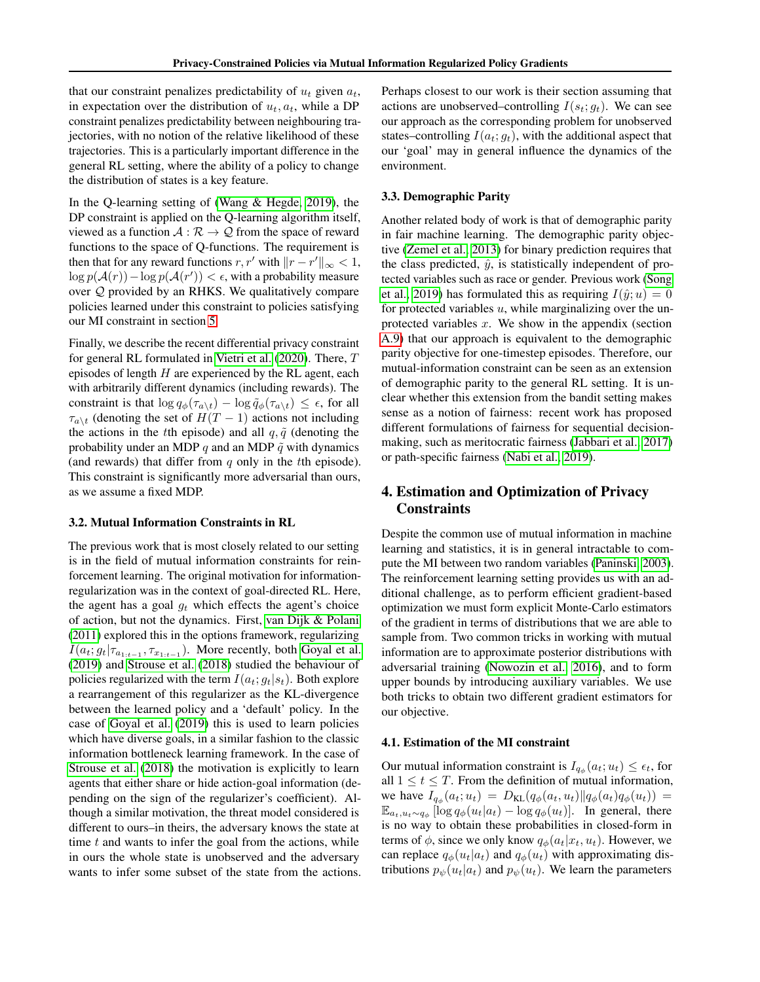that our constraint penalizes predictability of  $u_t$  given  $a_t$ , in expectation over the distribution of  $u_t$ ,  $a_t$ , while a DP constraint penalizes predictability between neighbouring trajectories, with no notion of the relative likelihood of these trajectories. This is a particularly important difference in the general RL setting, where the ability of a policy to change the distribution of states is a key feature.

In the Q-learning setting of [\(Wang & Hegde, 2019\)](#page-9-3), the DP constraint is applied on the Q-learning algorithm itself, viewed as a function  $A : \mathcal{R} \to \mathcal{Q}$  from the space of reward functions to the space of Q-functions. The requirement is then that for any reward functions  $r, r'$  with  $||r - r'||_{\infty} < 1$ ,  $\log p(\mathcal{A}(r)) - \log p(\mathcal{A}(r')) < \epsilon$ , with a probability measure over Q provided by an RHKS. We qualitatively compare policies learned under this constraint to policies satisfying our MI constraint in section [5.](#page-4-1)

Finally, we describe the recent differential privacy constraint for general RL formulated in [Vietri et al.](#page-9-4) [\(2020\)](#page-9-4). There, T episodes of length  $H$  are experienced by the RL agent, each with arbitrarily different dynamics (including rewards). The constraint is that  $\log q_{\phi}(\tau_{a\setminus t}) - \log \tilde{q}_{\phi}(\tau_{a\setminus t}) \leq \epsilon$ , for all  $\tau_{a\setminus t}$  (denoting the set of  $H(T-1)$  actions not including the actions in the tth episode) and all  $q, \tilde{q}$  (denoting the probability under an MDP q and an MDP  $\tilde{q}$  with dynamics (and rewards) that differ from  $q$  only in the tth episode). This constraint is significantly more adversarial than ours, as we assume a fixed MDP.

#### 3.2. Mutual Information Constraints in RL

The previous work that is most closely related to our setting is in the field of mutual information constraints for reinforcement learning. The original motivation for informationregularization was in the context of goal-directed RL. Here, the agent has a goal  $g_t$  which effects the agent's choice of action, but not the dynamics. First, [van Dijk & Polani](#page-9-13) [\(2011\)](#page-9-13) explored this in the options framework, regularizing  $I(a_t; g_t | \tau_{a_{1:t-1}}, \tau_{x_{1:t-1}})$ . More recently, both [Goyal et al.](#page-8-5) [\(2019\)](#page-8-5) and [Strouse et al.](#page-9-5) [\(2018\)](#page-9-5) studied the behaviour of policies regularized with the term  $I(a_t; g_t|s_t)$ . Both explore a rearrangement of this regularizer as the KL-divergence between the learned policy and a 'default' policy. In the case of [Goyal et al.](#page-8-5) [\(2019\)](#page-8-5) this is used to learn policies which have diverse goals, in a similar fashion to the classic information bottleneck learning framework. In the case of [Strouse et al.](#page-9-5) [\(2018\)](#page-9-5) the motivation is explicitly to learn agents that either share or hide action-goal information (depending on the sign of the regularizer's coefficient). Although a similar motivation, the threat model considered is different to ours–in theirs, the adversary knows the state at time  $t$  and wants to infer the goal from the actions, while in ours the whole state is unobserved and the adversary wants to infer some subset of the state from the actions. Perhaps closest to our work is their section assuming that actions are unobserved–controlling  $I(s_t; g_t)$ . We can see our approach as the corresponding problem for unobserved states–controlling  $I(a_t; g_t)$ , with the additional aspect that our 'goal' may in general influence the dynamics of the environment.

# 3.3. Demographic Parity

Another related body of work is that of demographic parity in fair machine learning. The demographic parity objective [\(Zemel et al., 2013\)](#page-9-14) for binary prediction requires that the class predicted,  $\hat{y}$ , is statistically independent of protected variables such as race or gender. Previous work [\(Song](#page-9-15) [et al., 2019\)](#page-9-15) has formulated this as requiring  $I(\hat{y}; u) = 0$ for protected variables  $u$ , while marginalizing over the unprotected variables  $x$ . We show in the appendix (section [A.9\)](#page-19-0) that our approach is equivalent to the demographic parity objective for one-timestep episodes. Therefore, our mutual-information constraint can be seen as an extension of demographic parity to the general RL setting. It is unclear whether this extension from the bandit setting makes sense as a notion of fairness: recent work has proposed different formulations of fairness for sequential decisionmaking, such as meritocratic fairness [\(Jabbari et al., 2017\)](#page-8-14) or path-specific fairness [\(Nabi et al., 2019\)](#page-8-2).

# 4. Estimation and Optimization of Privacy **Constraints**

Despite the common use of mutual information in machine learning and statistics, it is in general intractable to compute the MI between two random variables [\(Paninski, 2003\)](#page-9-7). The reinforcement learning setting provides us with an additional challenge, as to perform efficient gradient-based optimization we must form explicit Monte-Carlo estimators of the gradient in terms of distributions that we are able to sample from. Two common tricks in working with mutual information are to approximate posterior distributions with adversarial training [\(Nowozin et al., 2016\)](#page-9-16), and to form upper bounds by introducing auxiliary variables. We use both tricks to obtain two different gradient estimators for our objective.

#### 4.1. Estimation of the MI constraint

Our mutual information constraint is  $I_{q_{\phi}}(a_t; u_t) \leq \epsilon_t$ , for all  $1 \le t \le T$ . From the definition of mutual information, we have  $I_{q_{\phi}}(a_t; u_t) = D_{\text{KL}}(q_{\phi}(a_t, u_t)||q_{\phi}(a_t)q_{\phi}(u_t)) =$  $\mathbb{E}_{a_t, u_t \sim q_\phi}$  [log  $q_\phi(u_t|a_t) - \log q_\phi(u_t)$ ]. In general, there is no way to obtain these probabilities in closed-form in terms of  $\phi$ , since we only know  $q_{\phi}(a_t|x_t, u_t)$ . However, we can replace  $q_{\phi}(u_t|a_t)$  and  $q_{\phi}(u_t)$  with approximating distributions  $p_{\psi}(u_t|a_t)$  and  $p_{\psi}(u_t)$ . We learn the parameters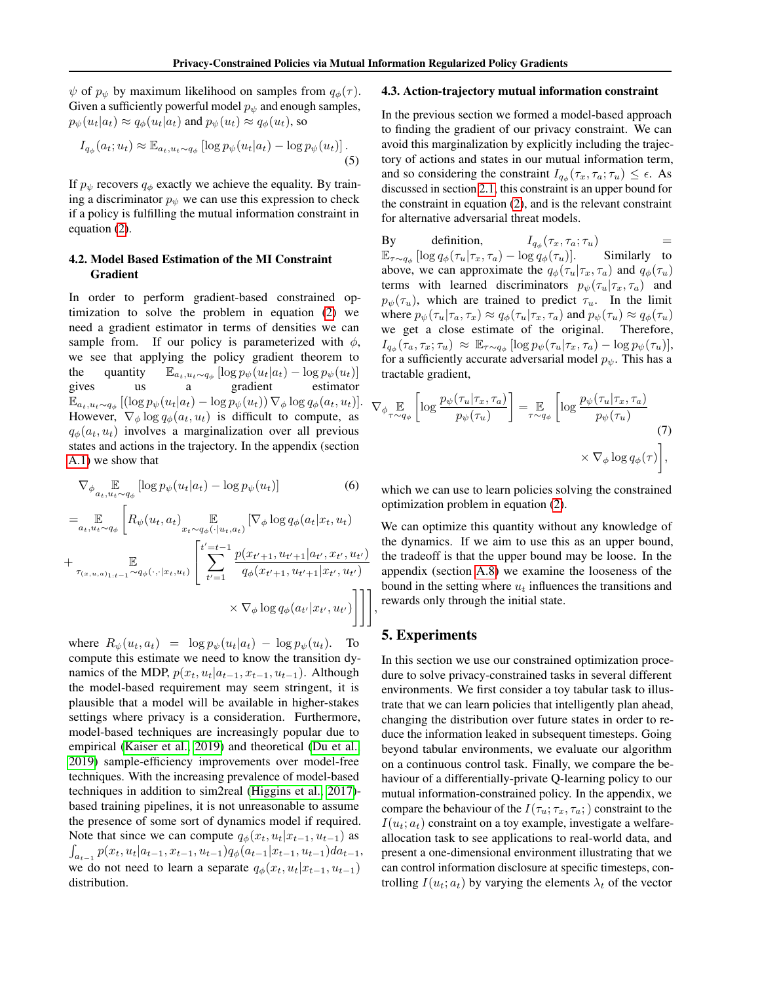$\psi$  of  $p_{\psi}$  by maximum likelihood on samples from  $q_{\phi}(\tau)$ . Given a sufficiently powerful model  $p_{\psi}$  and enough samples,  $p_{\psi}(u_t|a_t) \approx q_{\phi}(u_t|a_t)$  and  $p_{\psi}(u_t) \approx q_{\phi}(u_t)$ , so

$$
I_{q_{\phi}}(a_t; u_t) \approx \mathbb{E}_{a_t, u_t \sim q_{\phi}} \left[ \log p_{\psi}(u_t | a_t) - \log p_{\psi}(u_t) \right]. \tag{5}
$$

If  $p_{\psi}$  recovers  $q_{\phi}$  exactly we achieve the equality. By training a discriminator  $p_{\psi}$  we can use this expression to check if a policy is fulfilling the mutual information constraint in equation [\(2\)](#page-1-0).

# 4.2. Model Based Estimation of the MI Constraint Gradient

In order to perform gradient-based constrained optimization to solve the problem in equation [\(2\)](#page-1-0) we need a gradient estimator in terms of densities we can sample from. If our policy is parameterized with  $\phi$ , we see that applying the policy gradient theorem to the quantity  $\mathbb{E}_{a_t, u_t \sim q_\phi} [\log p_\psi(u_t|a_t) - \log p_\psi(u_t)]$ gives us a gradient estimator  $\mathbb{E}_{a_t, u_t \sim q_\phi} \left[ (\log p_\psi(u_t|a_t) - \log p_\psi(u_t)) \, \nabla_\phi \log q_\phi(a_t, u_t) \right].$ However,  $\nabla_{\phi} \log q_{\phi}(a_t, u_t)$  is difficult to compute, as  $q_{\phi}(a_t, u_t)$  involves a marginalization over all previous states and actions in the trajectory. In the appendix (section [A.1\)](#page-10-0) we show that

$$
\nabla_{\phi} \mathop{\mathbb{E}}_{a_t, u_t \sim q_{\phi}} \left[ \log p_{\psi}(u_t | a_t) - \log p_{\psi}(u_t) \right] \tag{6}
$$

$$
= \mathbb{E}_{a_t, u_t \sim q_{\phi}} \left[ R_{\psi}(u_t, a_t) \mathbb{E}_{x_t \sim q_{\phi}(\cdot | u_t, a_t)} [\nabla_{\phi} \log q_{\phi}(a_t | x_t, u_t) \right]
$$
  
+ 
$$
\mathbb{E}_{\tau_{(x, u, a)_{1:t-1}} \sim q_{\phi}(\cdot, \cdot | x_t, u_t)} \left[ \sum_{t'=1}^{t'=t-1} \frac{p(x_{t'+1}, u_{t'+1} | a_{t'}, x_{t'}, u_{t'})}{q_{\phi}(x_{t'+1}, u_{t'+1} | x_{t'}, u_{t'})} \right]
$$
  

$$
\times \nabla_{\phi} \log q_{\phi}(a_{t'} | x_{t'}, u_{t'}) \right] \Bigg],
$$

where  $R_{\psi}(u_t, a_t) = \log p_{\psi}(u_t|a_t) - \log p_{\psi}(u_t)$ . To compute this estimate we need to know the transition dynamics of the MDP,  $p(x_t, u_t|a_{t-1}, x_{t-1}, u_{t-1})$ . Although the model-based requirement may seem stringent, it is plausible that a model will be available in higher-stakes settings where privacy is a consideration. Furthermore, model-based techniques are increasingly popular due to empirical [\(Kaiser et al., 2019\)](#page-8-15) and theoretical [\(Du et al.,](#page-8-16) [2019\)](#page-8-16) sample-efficiency improvements over model-free techniques. With the increasing prevalence of model-based techniques in addition to sim2real [\(Higgins et al., 2017\)](#page-8-17) based training pipelines, it is not unreasonable to assume the presence of some sort of dynamics model if required. Note that since we can compute  $q_{\phi}(x_t, u_t|x_{t-1}, u_{t-1})$  as  $\int_{a_{t-1}} p(x_t, u_t | a_{t-1}, x_{t-1}, u_{t-1}) q_{\phi}(a_{t-1} | x_{t-1}, u_{t-1}) da_{t-1},$ we do not need to learn a separate  $q_{\phi}(x_t, u_t|x_{t-1}, u_{t-1})$ distribution.

### <span id="page-4-0"></span>4.3. Action-trajectory mutual information constraint

In the previous section we formed a model-based approach to finding the gradient of our privacy constraint. We can avoid this marginalization by explicitly including the trajectory of actions and states in our mutual information term, and so considering the constraint  $I_{q_{\phi}}(\tau_x, \tau_a; \tau_u) \leq \epsilon$ . As discussed in section [2.1,](#page-2-0) this constraint is an upper bound for the constraint in equation [\(2\)](#page-1-0), and is the relevant constraint for alternative adversarial threat models.

By definition,  $I_{q_{\phi}}(\tau_x, \tau_a; \tau_u)$  =  $\mathbb{E}_{\tau \sim q_{\phi}} \left[ \log q_{\phi}(\tau_u | \tau_x, \tau_a) - \log q_{\phi}(\tau_u) \right]$ . Similarly to above, we can approximate the  $q_{\phi}(\tau_u | \tau_x, \tau_a)$  and  $q_{\phi}(\tau_u)$ terms with learned discriminators  $p_{\psi}(\tau_u | \tau_x, \tau_a)$  and  $p_{\psi}(\tau_u)$ , which are trained to predict  $\tau_u$ . In the limit where  $p_{\psi}(\tau_u|\tau_a, \tau_x) \approx q_{\phi}(\tau_u|\tau_x, \tau_a)$  and  $p_{\psi}(\tau_u) \approx q_{\phi}(\tau_u)$ we get a close estimate of the original. Therefore,  $I_{q_\phi}(\tau_a, \tau_x; \tau_u) \approx \mathbb{E}_{\tau \sim q_\phi} [\log p_\psi(\tau_u | \tau_x, \tau_a) - \log p_\psi(\tau_u)],$ for a sufficiently accurate adversarial model  $p_{\psi}$ . This has a tractable gradient,

$$
\nabla_{\phi} \mathop{\mathbb{E}}_{\tau \sim q_{\phi}} \left[ \log \frac{p_{\psi}(\tau_u | \tau_x, \tau_a)}{p_{\psi}(\tau_u)} \right] = \mathop{\mathbb{E}}_{\tau \sim q_{\phi}} \left[ \log \frac{p_{\psi}(\tau_u | \tau_x, \tau_a)}{p_{\psi}(\tau_u)} \right]
$$
\n
$$
\times \nabla_{\phi} \log q_{\phi}(\tau) \right],
$$
\n(7)

which we can use to learn policies solving the constrained optimization problem in equation [\(2\)](#page-1-0).

We can optimize this quantity without any knowledge of the dynamics. If we aim to use this as an upper bound, the tradeoff is that the upper bound may be loose. In the appendix (section [A.8\)](#page-15-0) we examine the looseness of the bound in the setting where  $u_t$  influences the transitions and rewards only through the initial state.

# <span id="page-4-1"></span>5. Experiments

In this section we use our constrained optimization procedure to solve privacy-constrained tasks in several different environments. We first consider a toy tabular task to illustrate that we can learn policies that intelligently plan ahead, changing the distribution over future states in order to reduce the information leaked in subsequent timesteps. Going beyond tabular environments, we evaluate our algorithm on a continuous control task. Finally, we compare the behaviour of a differentially-private Q-learning policy to our mutual information-constrained policy. In the appendix, we compare the behaviour of the  $I(\tau_u; \tau_x, \tau_a; )$  constraint to the  $I(u_t; a_t)$  constraint on a toy example, investigate a welfareallocation task to see applications to real-world data, and present a one-dimensional environment illustrating that we can control information disclosure at specific timesteps, controlling  $I(u_t; a_t)$  by varying the elements  $\lambda_t$  of the vector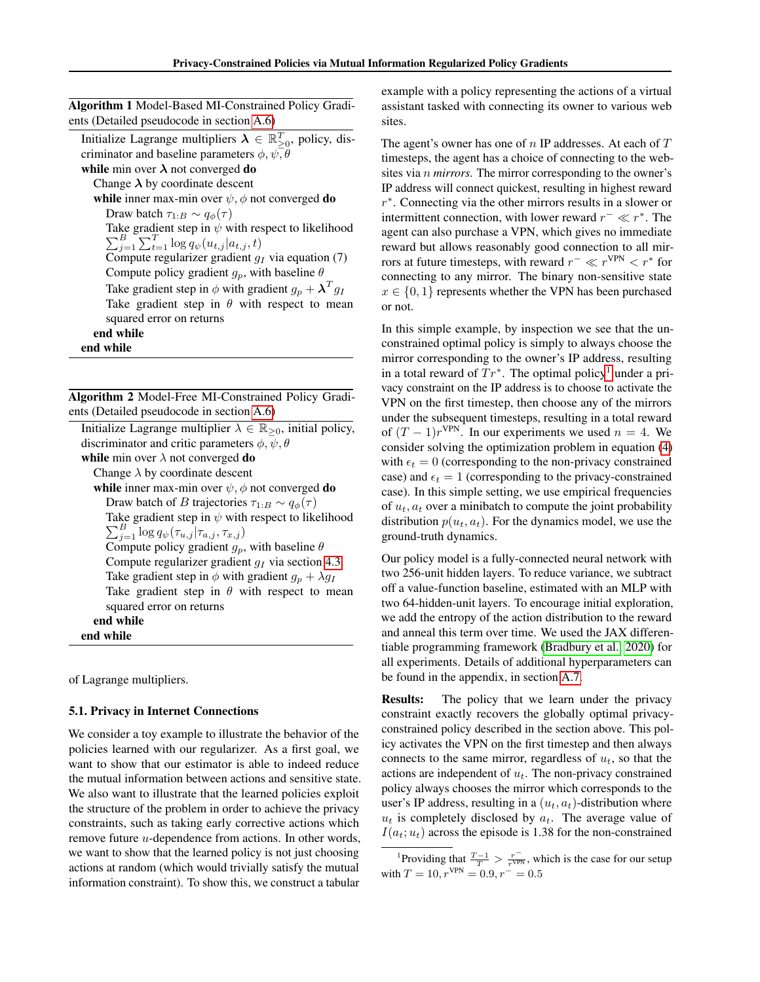| ents (Detailed pseudocode in section A.6)<br>Initialize Lagrange multipliers $\lambda \in \mathbb{R}_{\geq 0}^T$ , policy, dis-<br>criminator and baseline parameters $\phi, \psi, \theta$<br>while min over $\lambda$ not converged do<br>Change $\lambda$ by coordinate descent<br>while inner max-min over $\psi$ , $\phi$ not converged do<br>Draw batch $\tau_{1:B} \sim q_{\phi}(\tau)$<br>Take gradient step in $\psi$ with respect to likelihood<br>$\sum_{i=1}^{B} \sum_{t=1}^{T} \log q_{\psi}(u_{t,j} a_{t,j},t)$<br>Compute regularizer gradient $q_I$ via equation (7)<br>Compute policy gradient $g_p$ , with baseline $\theta$<br>Take gradient step in $\phi$ with gradient $g_p + \lambda^T g_I$<br>Take gradient step in $\theta$ with respect to mean | <b>Algorithm 1</b> Model-Based MI-Constrained Policy Gradi- |  |  |
|--------------------------------------------------------------------------------------------------------------------------------------------------------------------------------------------------------------------------------------------------------------------------------------------------------------------------------------------------------------------------------------------------------------------------------------------------------------------------------------------------------------------------------------------------------------------------------------------------------------------------------------------------------------------------------------------------------------------------------------------------------------------------|-------------------------------------------------------------|--|--|
|                                                                                                                                                                                                                                                                                                                                                                                                                                                                                                                                                                                                                                                                                                                                                                          |                                                             |  |  |
|                                                                                                                                                                                                                                                                                                                                                                                                                                                                                                                                                                                                                                                                                                                                                                          |                                                             |  |  |
|                                                                                                                                                                                                                                                                                                                                                                                                                                                                                                                                                                                                                                                                                                                                                                          |                                                             |  |  |
|                                                                                                                                                                                                                                                                                                                                                                                                                                                                                                                                                                                                                                                                                                                                                                          |                                                             |  |  |
|                                                                                                                                                                                                                                                                                                                                                                                                                                                                                                                                                                                                                                                                                                                                                                          |                                                             |  |  |
|                                                                                                                                                                                                                                                                                                                                                                                                                                                                                                                                                                                                                                                                                                                                                                          |                                                             |  |  |
|                                                                                                                                                                                                                                                                                                                                                                                                                                                                                                                                                                                                                                                                                                                                                                          |                                                             |  |  |
|                                                                                                                                                                                                                                                                                                                                                                                                                                                                                                                                                                                                                                                                                                                                                                          |                                                             |  |  |
|                                                                                                                                                                                                                                                                                                                                                                                                                                                                                                                                                                                                                                                                                                                                                                          |                                                             |  |  |
|                                                                                                                                                                                                                                                                                                                                                                                                                                                                                                                                                                                                                                                                                                                                                                          |                                                             |  |  |
|                                                                                                                                                                                                                                                                                                                                                                                                                                                                                                                                                                                                                                                                                                                                                                          |                                                             |  |  |
|                                                                                                                                                                                                                                                                                                                                                                                                                                                                                                                                                                                                                                                                                                                                                                          |                                                             |  |  |
|                                                                                                                                                                                                                                                                                                                                                                                                                                                                                                                                                                                                                                                                                                                                                                          |                                                             |  |  |
|                                                                                                                                                                                                                                                                                                                                                                                                                                                                                                                                                                                                                                                                                                                                                                          | squared error on returns                                    |  |  |
| end while                                                                                                                                                                                                                                                                                                                                                                                                                                                                                                                                                                                                                                                                                                                                                                |                                                             |  |  |
| end while                                                                                                                                                                                                                                                                                                                                                                                                                                                                                                                                                                                                                                                                                                                                                                |                                                             |  |  |

Algorithm 2 Model-Free MI-Constrained Policy Gradients (Detailed pseudocode in section [A.6\)](#page-15-1)

| Initialize Lagrange multiplier $\lambda \in \mathbb{R}_{\geq 0}$ , initial policy, |
|------------------------------------------------------------------------------------|
| discriminator and critic parameters $\phi$ , $\psi$ , $\theta$                     |
| while min over $\lambda$ not converged do                                          |
| Change $\lambda$ by coordinate descent                                             |
| while inner max-min over $\psi$ , $\phi$ not converged do                          |
| Draw batch of <i>B</i> trajectories $\tau_{1:B} \sim q_{\phi}(\tau)$               |
| Take gradient step in $\psi$ with respect to likelihood                            |
| $\sum_{i=1}^B \log q_{\psi}(\tau_{u,j} \tau_{a,j},\tau_{x,j})$                     |
| Compute policy gradient $g_p$ , with baseline $\theta$                             |
| Compute regularizer gradient $q_I$ via section 4.3.                                |
| Take gradient step in $\phi$ with gradient $g_p + \lambda g_I$                     |
| Take gradient step in $\theta$ with respect to mean                                |
| squared error on returns                                                           |
| end while                                                                          |
| end while                                                                          |

of Lagrange multipliers.

#### <span id="page-5-1"></span>5.1. Privacy in Internet Connections

We consider a toy example to illustrate the behavior of the policies learned with our regularizer. As a first goal, we want to show that our estimator is able to indeed reduce the mutual information between actions and sensitive state. We also want to illustrate that the learned policies exploit the structure of the problem in order to achieve the privacy constraints, such as taking early corrective actions which remove future u-dependence from actions. In other words, we want to show that the learned policy is not just choosing actions at random (which would trivially satisfy the mutual information constraint). To show this, we construct a tabular

example with a policy representing the actions of a virtual assistant tasked with connecting its owner to various web sites.

The agent's owner has one of  $n$  IP addresses. At each of  $T$ timesteps, the agent has a choice of connecting to the websites via n *mirrors*. The mirror corresponding to the owner's IP address will connect quickest, resulting in highest reward r ∗ . Connecting via the other mirrors results in a slower or intermittent connection, with lower reward  $r^- \ll r^*$ . The agent can also purchase a VPN, which gives no immediate reward but allows reasonably good connection to all mirrors at future timesteps, with reward  $r^- \ll r^{\text{VPN}} < r^*$  for connecting to any mirror. The binary non-sensitive state  $x \in \{0, 1\}$  represents whether the VPN has been purchased or not.

In this simple example, by inspection we see that the unconstrained optimal policy is simply to always choose the mirror corresponding to the owner's IP address, resulting in a total reward of  $Tr^*$ . The optimal policy<sup>[1](#page-5-0)</sup> under a privacy constraint on the IP address is to choose to activate the VPN on the first timestep, then choose any of the mirrors under the subsequent timesteps, resulting in a total reward of  $(T - 1)r^{\text{VPN}}$ . In our experiments we used  $n = 4$ . We consider solving the optimization problem in equation [\(4\)](#page-2-1) with  $\epsilon_t = 0$  (corresponding to the non-privacy constrained case) and  $\epsilon_t = 1$  (corresponding to the privacy-constrained case). In this simple setting, we use empirical frequencies of  $u_t$ ,  $a_t$  over a minibatch to compute the joint probability distribution  $p(u_t, a_t)$ . For the dynamics model, we use the ground-truth dynamics.

Our policy model is a fully-connected neural network with two 256-unit hidden layers. To reduce variance, we subtract off a value-function baseline, estimated with an MLP with two 64-hidden-unit layers. To encourage initial exploration, we add the entropy of the action distribution to the reward and anneal this term over time. We used the JAX differentiable programming framework [\(Bradbury et al., 2020\)](#page-8-18) for all experiments. Details of additional hyperparameters can be found in the appendix, in section [A.7.](#page-15-2)

**Results:** The policy that we learn under the privacy constraint exactly recovers the globally optimal privacyconstrained policy described in the section above. This policy activates the VPN on the first timestep and then always connects to the same mirror, regardless of  $u_t$ , so that the actions are independent of  $u_t$ . The non-privacy constrained policy always chooses the mirror which corresponds to the user's IP address, resulting in a  $(u_t, a_t)$ -distribution where  $u_t$  is completely disclosed by  $a_t$ . The average value of  $I(a_t; u_t)$  across the episode is 1.38 for the non-constrained

<span id="page-5-0"></span>Providing that  $\frac{T-1}{T} > \frac{r^{-}}{r^{\text{VPN}}}$ , which is the case for our setup with  $T = 10, r^{\text{VPN}} = 0.9, r^- = 0.5$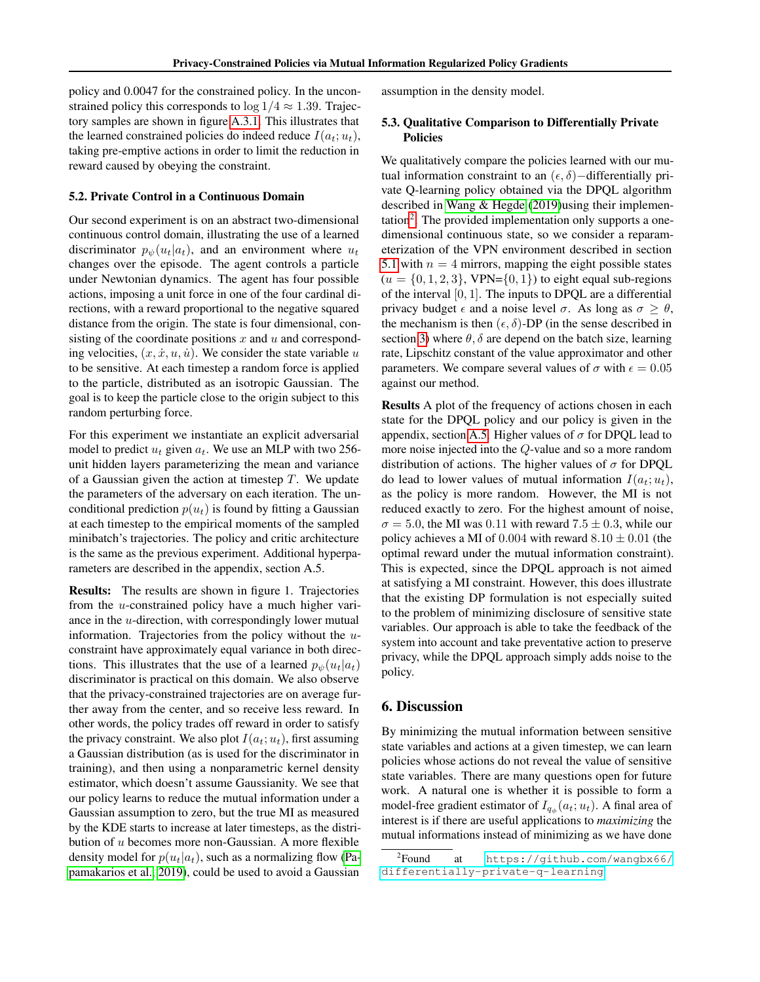policy and 0.0047 for the constrained policy. In the unconstrained policy this corresponds to  $\log 1/4 \approx 1.39$ . Trajectory samples are shown in figure [A.3.1.](#page-12-1) This illustrates that the learned constrained policies do indeed reduce  $I(a_t; u_t)$ , taking pre-emptive actions in order to limit the reduction in reward caused by obeying the constraint.

# 5.2. Private Control in a Continuous Domain

Our second experiment is on an abstract two-dimensional continuous control domain, illustrating the use of a learned discriminator  $p_{\psi}(u_t|a_t)$ , and an environment where  $u_t$ changes over the episode. The agent controls a particle under Newtonian dynamics. The agent has four possible actions, imposing a unit force in one of the four cardinal directions, with a reward proportional to the negative squared distance from the origin. The state is four dimensional, consisting of the coordinate positions  $x$  and  $u$  and corresponding velocities,  $(x, \dot{x}, u, \dot{u})$ . We consider the state variable u to be sensitive. At each timestep a random force is applied to the particle, distributed as an isotropic Gaussian. The goal is to keep the particle close to the origin subject to this random perturbing force.

For this experiment we instantiate an explicit adversarial model to predict  $u_t$  given  $a_t$ . We use an MLP with two 256unit hidden layers parameterizing the mean and variance of a Gaussian given the action at timestep  $T$ . We update the parameters of the adversary on each iteration. The unconditional prediction  $p(u_t)$  is found by fitting a Gaussian at each timestep to the empirical moments of the sampled minibatch's trajectories. The policy and critic architecture is the same as the previous experiment. Additional hyperparameters are described in the appendix, section A.5.

Results: The results are shown in figure 1. Trajectories from the u-constrained policy have a much higher variance in the u-direction, with correspondingly lower mutual information. Trajectories from the policy without the uconstraint have approximately equal variance in both directions. This illustrates that the use of a learned  $p_{\psi}(u_t|a_t)$ discriminator is practical on this domain. We also observe that the privacy-constrained trajectories are on average further away from the center, and so receive less reward. In other words, the policy trades off reward in order to satisfy the privacy constraint. We also plot  $I(a_t; u_t)$ , first assuming a Gaussian distribution (as is used for the discriminator in training), and then using a nonparametric kernel density estimator, which doesn't assume Gaussianity. We see that our policy learns to reduce the mutual information under a Gaussian assumption to zero, but the true MI as measured by the KDE starts to increase at later timesteps, as the distribution of u becomes more non-Gaussian. A more flexible density model for  $p(u_t|a_t)$ , such as a normalizing flow [\(Pa](#page-9-17)[pamakarios et al., 2019\)](#page-9-17), could be used to avoid a Gaussian

assumption in the density model.

### 5.3. Qualitative Comparison to Differentially Private Policies

We qualitatively compare the policies learned with our mutual information constraint to an  $(\epsilon, \delta)$  –differentially private Q-learning policy obtained via the DPQL algorithm described in [Wang & Hegde](#page-9-3) [\(2019\)](#page-9-3)using their implemen-tation<sup>[2](#page-6-0)</sup>. The provided implementation only supports a onedimensional continuous state, so we consider a reparameterization of the VPN environment described in section [5.1](#page-5-1) with  $n = 4$  mirrors, mapping the eight possible states  $(u = \{0, 1, 2, 3\}, \text{VPN} = \{0, 1\})$  to eight equal sub-regions of the interval  $[0, 1]$ . The inputs to DPQL are a differential privacy budget  $\epsilon$  and a noise level  $\sigma$ . As long as  $\sigma \geq \theta$ , the mechanism is then  $(\epsilon, \delta)$ -DP (in the sense described in section [3\)](#page-2-2) where  $\theta$ ,  $\delta$  are depend on the batch size, learning rate, Lipschitz constant of the value approximator and other parameters. We compare several values of  $\sigma$  with  $\epsilon = 0.05$ against our method.

Results A plot of the frequency of actions chosen in each state for the DPQL policy and our policy is given in the appendix, section [A.5.](#page-15-3) Higher values of  $\sigma$  for DPQL lead to more noise injected into the Q-value and so a more random distribution of actions. The higher values of  $\sigma$  for DPQL do lead to lower values of mutual information  $I(a_t; u_t)$ , as the policy is more random. However, the MI is not reduced exactly to zero. For the highest amount of noise,  $\sigma = 5.0$ , the MI was 0.11 with reward  $7.5 \pm 0.3$ , while our policy achieves a MI of 0.004 with reward  $8.10 \pm 0.01$  (the optimal reward under the mutual information constraint). This is expected, since the DPQL approach is not aimed at satisfying a MI constraint. However, this does illustrate that the existing DP formulation is not especially suited to the problem of minimizing disclosure of sensitive state variables. Our approach is able to take the feedback of the system into account and take preventative action to preserve privacy, while the DPQL approach simply adds noise to the policy.

#### 6. Discussion

By minimizing the mutual information between sensitive state variables and actions at a given timestep, we can learn policies whose actions do not reveal the value of sensitive state variables. There are many questions open for future work. A natural one is whether it is possible to form a model-free gradient estimator of  $I_{q_{\phi}}(a_t; u_t)$ . A final area of interest is if there are useful applications to *maximizing* the mutual informations instead of minimizing as we have done

<span id="page-6-0"></span> ${}^{2}$ Found at [https://github.com/wangbx66/](https://github.com/wangbx66/differentially-private-q-learning) [differentially-private-q-learning](https://github.com/wangbx66/differentially-private-q-learning)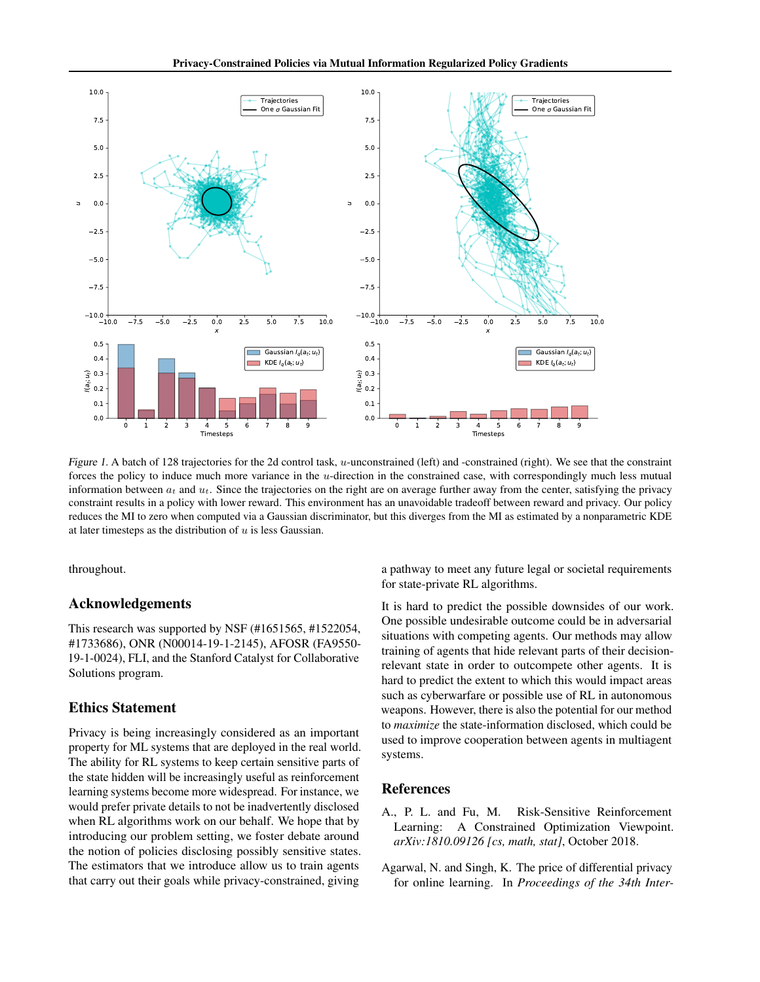

Figure 1. A batch of 128 trajectories for the 2d control task, u-unconstrained (left) and -constrained (right). We see that the constraint forces the policy to induce much more variance in the u-direction in the constrained case, with correspondingly much less mutual information between  $a_t$  and  $u_t$ . Since the trajectories on the right are on average further away from the center, satisfying the privacy constraint results in a policy with lower reward. This environment has an unavoidable tradeoff between reward and privacy. Our policy reduces the MI to zero when computed via a Gaussian discriminator, but this diverges from the MI as estimated by a nonparametric KDE at later timesteps as the distribution of  $u$  is less Gaussian.

throughout.

### Acknowledgements

This research was supported by NSF (#1651565, #1522054, #1733686), ONR (N00014-19-1-2145), AFOSR (FA9550- 19-1-0024), FLI, and the Stanford Catalyst for Collaborative Solutions program.

# Ethics Statement

Privacy is being increasingly considered as an important property for ML systems that are deployed in the real world. The ability for RL systems to keep certain sensitive parts of the state hidden will be increasingly useful as reinforcement learning systems become more widespread. For instance, we would prefer private details to not be inadvertently disclosed when RL algorithms work on our behalf. We hope that by introducing our problem setting, we foster debate around the notion of policies disclosing possibly sensitive states. The estimators that we introduce allow us to train agents that carry out their goals while privacy-constrained, giving

a pathway to meet any future legal or societal requirements for state-private RL algorithms.

It is hard to predict the possible downsides of our work. One possible undesirable outcome could be in adversarial situations with competing agents. Our methods may allow training of agents that hide relevant parts of their decisionrelevant state in order to outcompete other agents. It is hard to predict the extent to which this would impact areas such as cyberwarfare or possible use of RL in autonomous weapons. However, there is also the potential for our method to *maximize* the state-information disclosed, which could be used to improve cooperation between agents in multiagent systems.

### References

- <span id="page-7-0"></span>A., P. L. and Fu, M. Risk-Sensitive Reinforcement Learning: A Constrained Optimization Viewpoint. *arXiv:1810.09126 [cs, math, stat]*, October 2018.
- <span id="page-7-1"></span>Agarwal, N. and Singh, K. The price of differential privacy for online learning. In *Proceedings of the 34th Inter-*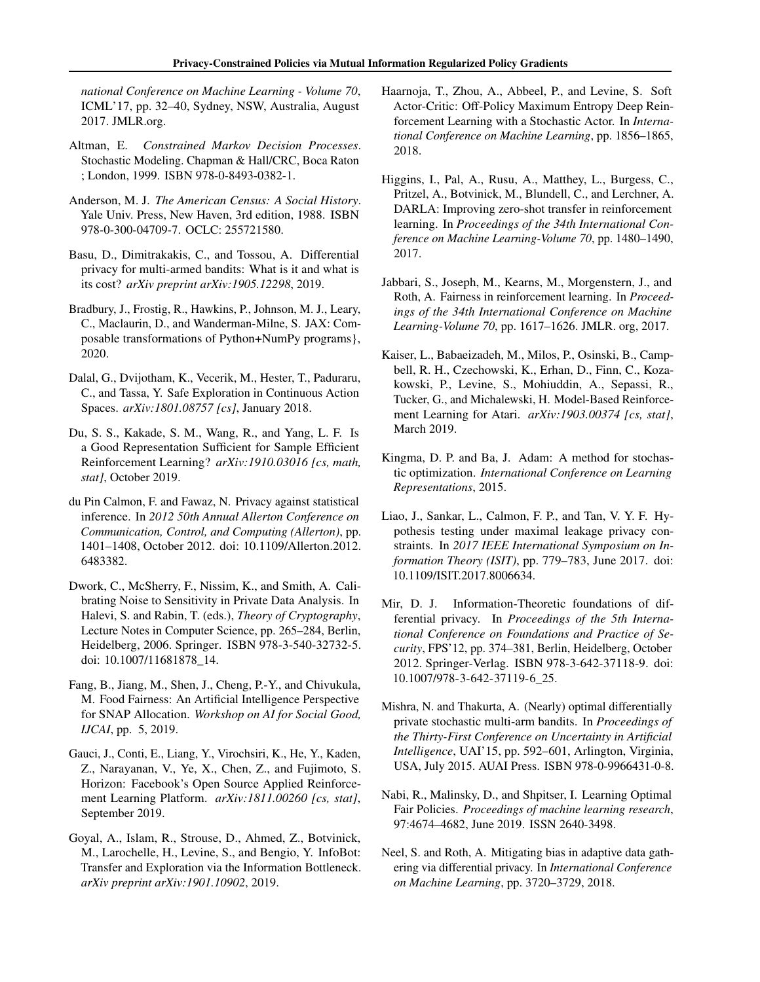*national Conference on Machine Learning - Volume 70*, ICML'17, pp. 32–40, Sydney, NSW, Australia, August 2017. JMLR.org.

- <span id="page-8-7"></span>Altman, E. *Constrained Markov Decision Processes*. Stochastic Modeling. Chapman & Hall/CRC, Boca Raton ; London, 1999. ISBN 978-0-8493-0382-1.
- <span id="page-8-8"></span>Anderson, M. J. *The American Census: A Social History*. Yale Univ. Press, New Haven, 3rd edition, 1988. ISBN 978-0-300-04709-7. OCLC: 255721580.
- <span id="page-8-11"></span>Basu, D., Dimitrakakis, C., and Tossou, A. Differential privacy for multi-armed bandits: What is it and what is its cost? *arXiv preprint arXiv:1905.12298*, 2019.
- <span id="page-8-18"></span>Bradbury, J., Frostig, R., Hawkins, P., Johnson, M. J., Leary, C., Maclaurin, D., and Wanderman-Milne, S. JAX: Composable transformations of Python+NumPy programs}, 2020.
- <span id="page-8-3"></span>Dalal, G., Dvijotham, K., Vecerik, M., Hester, T., Paduraru, C., and Tassa, Y. Safe Exploration in Continuous Action Spaces. *arXiv:1801.08757 [cs]*, January 2018.
- <span id="page-8-16"></span>Du, S. S., Kakade, S. M., Wang, R., and Yang, L. F. Is a Good Representation Sufficient for Sample Efficient Reinforcement Learning? *arXiv:1910.03016 [cs, math, stat]*, October 2019.
- <span id="page-8-13"></span>du Pin Calmon, F. and Fawaz, N. Privacy against statistical inference. In *2012 50th Annual Allerton Conference on Communication, Control, and Computing (Allerton)*, pp. 1401–1408, October 2012. doi: 10.1109/Allerton.2012. 6483382.
- <span id="page-8-4"></span>Dwork, C., McSherry, F., Nissim, K., and Smith, A. Calibrating Noise to Sensitivity in Private Data Analysis. In Halevi, S. and Rabin, T. (eds.), *Theory of Cryptography*, Lecture Notes in Computer Science, pp. 265–284, Berlin, Heidelberg, 2006. Springer. ISBN 978-3-540-32732-5. doi: 10.1007/11681878\_14.
- <span id="page-8-19"></span>Fang, B., Jiang, M., Shen, J., Cheng, P.-Y., and Chivukula, M. Food Fairness: An Artificial Intelligence Perspective for SNAP Allocation. *Workshop on AI for Social Good, IJCAI*, pp. 5, 2019.
- <span id="page-8-1"></span>Gauci, J., Conti, E., Liang, Y., Virochsiri, K., He, Y., Kaden, Z., Narayanan, V., Ye, X., Chen, Z., and Fujimoto, S. Horizon: Facebook's Open Source Applied Reinforcement Learning Platform. *arXiv:1811.00260 [cs, stat]*, September 2019.
- <span id="page-8-5"></span>Goyal, A., Islam, R., Strouse, D., Ahmed, Z., Botvinick, M., Larochelle, H., Levine, S., and Bengio, Y. InfoBot: Transfer and Exploration via the Information Bottleneck. *arXiv preprint arXiv:1901.10902*, 2019.
- <span id="page-8-0"></span>Haarnoja, T., Zhou, A., Abbeel, P., and Levine, S. Soft Actor-Critic: Off-Policy Maximum Entropy Deep Reinforcement Learning with a Stochastic Actor. In *International Conference on Machine Learning*, pp. 1856–1865, 2018.
- <span id="page-8-17"></span>Higgins, I., Pal, A., Rusu, A., Matthey, L., Burgess, C., Pritzel, A., Botvinick, M., Blundell, C., and Lerchner, A. DARLA: Improving zero-shot transfer in reinforcement learning. In *Proceedings of the 34th International Conference on Machine Learning-Volume 70*, pp. 1480–1490, 2017.
- <span id="page-8-14"></span>Jabbari, S., Joseph, M., Kearns, M., Morgenstern, J., and Roth, A. Fairness in reinforcement learning. In *Proceedings of the 34th International Conference on Machine Learning-Volume 70*, pp. 1617–1626. JMLR. org, 2017.
- <span id="page-8-15"></span>Kaiser, L., Babaeizadeh, M., Milos, P., Osinski, B., Campbell, R. H., Czechowski, K., Erhan, D., Finn, C., Kozakowski, P., Levine, S., Mohiuddin, A., Sepassi, R., Tucker, G., and Michalewski, H. Model-Based Reinforcement Learning for Atari. *arXiv:1903.00374 [cs, stat]*, March 2019.
- <span id="page-8-20"></span>Kingma, D. P. and Ba, J. Adam: A method for stochastic optimization. *International Conference on Learning Representations*, 2015.
- <span id="page-8-6"></span>Liao, J., Sankar, L., Calmon, F. P., and Tan, V. Y. F. Hypothesis testing under maximal leakage privacy constraints. In *2017 IEEE International Symposium on Information Theory (ISIT)*, pp. 779–783, June 2017. doi: 10.1109/ISIT.2017.8006634.
- <span id="page-8-12"></span>Mir, D. J. Information-Theoretic foundations of differential privacy. In *Proceedings of the 5th International Conference on Foundations and Practice of Security*, FPS'12, pp. 374–381, Berlin, Heidelberg, October 2012. Springer-Verlag. ISBN 978-3-642-37118-9. doi: 10.1007/978-3-642-37119-6\_25.
- <span id="page-8-10"></span>Mishra, N. and Thakurta, A. (Nearly) optimal differentially private stochastic multi-arm bandits. In *Proceedings of the Thirty-First Conference on Uncertainty in Artificial Intelligence*, UAI'15, pp. 592–601, Arlington, Virginia, USA, July 2015. AUAI Press. ISBN 978-0-9966431-0-8.
- <span id="page-8-2"></span>Nabi, R., Malinsky, D., and Shpitser, I. Learning Optimal Fair Policies. *Proceedings of machine learning research*, 97:4674–4682, June 2019. ISSN 2640-3498.
- <span id="page-8-9"></span>Neel, S. and Roth, A. Mitigating bias in adaptive data gathering via differential privacy. In *International Conference on Machine Learning*, pp. 3720–3729, 2018.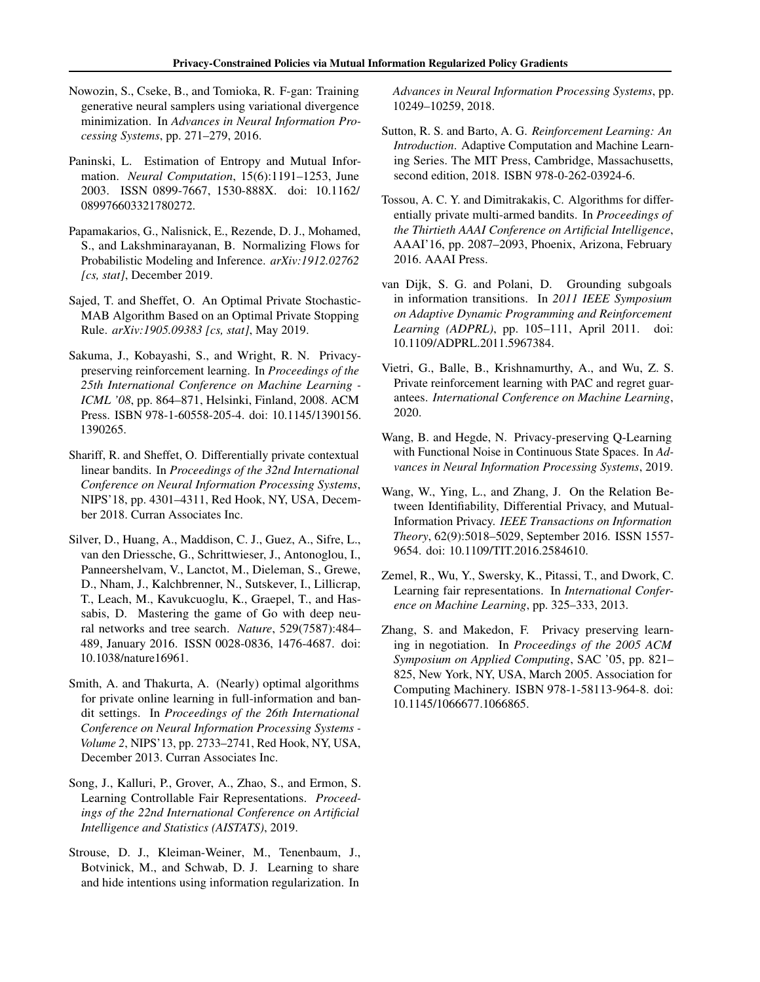- <span id="page-9-16"></span>Nowozin, S., Cseke, B., and Tomioka, R. F-gan: Training generative neural samplers using variational divergence minimization. In *Advances in Neural Information Processing Systems*, pp. 271–279, 2016.
- <span id="page-9-7"></span>Paninski, L. Estimation of Entropy and Mutual Information. *Neural Computation*, 15(6):1191–1253, June 2003. ISSN 0899-7667, 1530-888X. doi: 10.1162/ 089976603321780272.
- <span id="page-9-17"></span>Papamakarios, G., Nalisnick, E., Rezende, D. J., Mohamed, S., and Lakshminarayanan, B. Normalizing Flows for Probabilistic Modeling and Inference. *arXiv:1912.02762 [cs, stat]*, December 2019.
- <span id="page-9-1"></span>Sajed, T. and Sheffet, O. An Optimal Private Stochastic-MAB Algorithm Based on an Optimal Private Stopping Rule. *arXiv:1905.09383 [cs, stat]*, May 2019.
- <span id="page-9-8"></span>Sakuma, J., Kobayashi, S., and Wright, R. N. Privacypreserving reinforcement learning. In *Proceedings of the 25th International Conference on Machine Learning - ICML '08*, pp. 864–871, Helsinki, Finland, 2008. ACM Press. ISBN 978-1-60558-205-4. doi: 10.1145/1390156. 1390265.
- <span id="page-9-2"></span>Shariff, R. and Sheffet, O. Differentially private contextual linear bandits. In *Proceedings of the 32nd International Conference on Neural Information Processing Systems*, NIPS'18, pp. 4301–4311, Red Hook, NY, USA, December 2018. Curran Associates Inc.
- <span id="page-9-0"></span>Silver, D., Huang, A., Maddison, C. J., Guez, A., Sifre, L., van den Driessche, G., Schrittwieser, J., Antonoglou, I., Panneershelvam, V., Lanctot, M., Dieleman, S., Grewe, D., Nham, J., Kalchbrenner, N., Sutskever, I., Lillicrap, T., Leach, M., Kavukcuoglu, K., Graepel, T., and Hassabis, D. Mastering the game of Go with deep neural networks and tree search. *Nature*, 529(7587):484– 489, January 2016. ISSN 0028-0836, 1476-4687. doi: 10.1038/nature16961.
- <span id="page-9-11"></span>Smith, A. and Thakurta, A. (Nearly) optimal algorithms for private online learning in full-information and bandit settings. In *Proceedings of the 26th International Conference on Neural Information Processing Systems - Volume 2*, NIPS'13, pp. 2733–2741, Red Hook, NY, USA, December 2013. Curran Associates Inc.
- <span id="page-9-15"></span>Song, J., Kalluri, P., Grover, A., Zhao, S., and Ermon, S. Learning Controllable Fair Representations. *Proceedings of the 22nd International Conference on Artificial Intelligence and Statistics (AISTATS)*, 2019.
- <span id="page-9-5"></span>Strouse, D. J., Kleiman-Weiner, M., Tenenbaum, J., Botvinick, M., and Schwab, D. J. Learning to share and hide intentions using information regularization. In

*Advances in Neural Information Processing Systems*, pp. 10249–10259, 2018.

- <span id="page-9-6"></span>Sutton, R. S. and Barto, A. G. *Reinforcement Learning: An Introduction*. Adaptive Computation and Machine Learning Series. The MIT Press, Cambridge, Massachusetts, second edition, 2018. ISBN 978-0-262-03924-6.
- <span id="page-9-10"></span>Tossou, A. C. Y. and Dimitrakakis, C. Algorithms for differentially private multi-armed bandits. In *Proceedings of the Thirtieth AAAI Conference on Artificial Intelligence*, AAAI'16, pp. 2087–2093, Phoenix, Arizona, February 2016. AAAI Press.
- <span id="page-9-13"></span>van Dijk, S. G. and Polani, D. Grounding subgoals in information transitions. In *2011 IEEE Symposium on Adaptive Dynamic Programming and Reinforcement Learning (ADPRL)*, pp. 105–111, April 2011. doi: 10.1109/ADPRL.2011.5967384.
- <span id="page-9-4"></span>Vietri, G., Balle, B., Krishnamurthy, A., and Wu, Z. S. Private reinforcement learning with PAC and regret guarantees. *International Conference on Machine Learning*, 2020.
- <span id="page-9-3"></span>Wang, B. and Hegde, N. Privacy-preserving Q-Learning with Functional Noise in Continuous State Spaces. In *Advances in Neural Information Processing Systems*, 2019.
- <span id="page-9-12"></span>Wang, W., Ying, L., and Zhang, J. On the Relation Between Identifiability, Differential Privacy, and Mutual-Information Privacy. *IEEE Transactions on Information Theory*, 62(9):5018–5029, September 2016. ISSN 1557- 9654. doi: 10.1109/TIT.2016.2584610.
- <span id="page-9-14"></span>Zemel, R., Wu, Y., Swersky, K., Pitassi, T., and Dwork, C. Learning fair representations. In *International Conference on Machine Learning*, pp. 325–333, 2013.
- <span id="page-9-9"></span>Zhang, S. and Makedon, F. Privacy preserving learning in negotiation. In *Proceedings of the 2005 ACM Symposium on Applied Computing*, SAC '05, pp. 821– 825, New York, NY, USA, March 2005. Association for Computing Machinery. ISBN 978-1-58113-964-8. doi: 10.1145/1066677.1066865.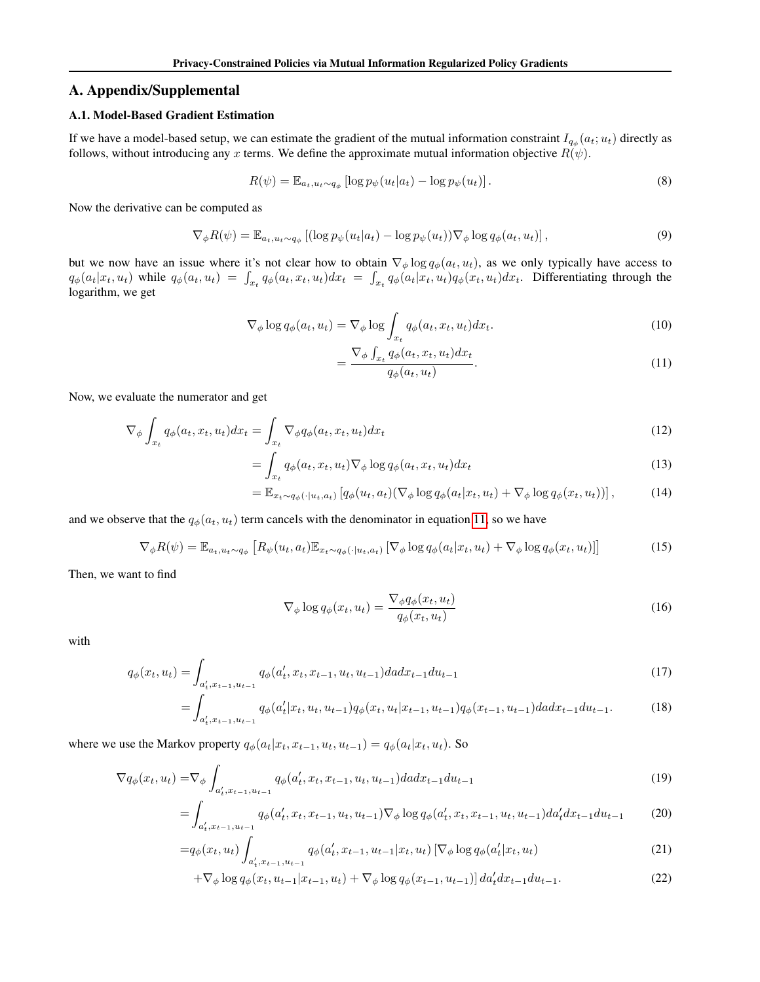# A. Appendix/Supplemental

# <span id="page-10-0"></span>A.1. Model-Based Gradient Estimation

If we have a model-based setup, we can estimate the gradient of the mutual information constraint  $I_{q_{\phi}}(a_t; u_t)$  directly as follows, without introducing any x terms. We define the approximate mutual information objective  $R(\psi)$ .

$$
R(\psi) = \mathbb{E}_{a_t, u_t \sim q_\phi} \left[ \log p_\psi(u_t | a_t) - \log p_\psi(u_t) \right]. \tag{8}
$$

Now the derivative can be computed as

$$
\nabla_{\phi} R(\psi) = \mathbb{E}_{a_t, u_t \sim q_{\phi}} \left[ (\log p_{\psi}(u_t | a_t) - \log p_{\psi}(u_t)) \nabla_{\phi} \log q_{\phi}(a_t, u_t) \right],\tag{9}
$$

but we now have an issue where it's not clear how to obtain  $\nabla_{\phi} \log q_{\phi}(a_t, u_t)$ , as we only typically have access to  $q_{\phi}(a_t|x_t, u_t)$  while  $q_{\phi}(a_t, u_t) = \int_{x_t} q_{\phi}(a_t, x_t, u_t) dx_t = \int_{x_t} q_{\phi}(a_t|x_t, u_t) q_{\phi}(x_t, u_t) dx_t$ . Differentiating through the logarithm, we get

$$
\nabla_{\phi} \log q_{\phi}(a_t, u_t) = \nabla_{\phi} \log \int_{x_t} q_{\phi}(a_t, x_t, u_t) dx_t.
$$
\n
$$
\nabla_{\phi} \int_{a_t} q_{\phi}(a_t, x_t, u_t) dx.
$$
\n(10)

<span id="page-10-1"></span>
$$
=\frac{\nabla_{\phi} \int_{x_t} q_{\phi}(a_t, x_t, u_t) dx_t}{q_{\phi}(a_t, u_t)}.
$$
\n(11)

Now, we evaluate the numerator and get

$$
\nabla_{\phi} \int_{x_t} q_{\phi}(a_t, x_t, u_t) dx_t = \int_{x_t} \nabla_{\phi} q_{\phi}(a_t, x_t, u_t) dx_t
$$
\n(12)

$$
= \int_{x_t} q_{\phi}(a_t, x_t, u_t) \nabla_{\phi} \log q_{\phi}(a_t, x_t, u_t) dx_t \tag{13}
$$

$$
= \mathbb{E}_{x_t \sim q_\phi(\cdot | u_t, a_t)} \left[ q_\phi(u_t, a_t) (\nabla_\phi \log q_\phi(a_t | x_t, u_t) + \nabla_\phi \log q_\phi(x_t, u_t)) \right],\tag{14}
$$

and we observe that the  $q_{\phi}(a_t, u_t)$  term cancels with the denominator in equation [11,](#page-10-1) so we have

$$
\nabla_{\phi} R(\psi) = \mathbb{E}_{a_t, u_t \sim q_{\phi}} \left[ R_{\psi}(u_t, a_t) \mathbb{E}_{x_t \sim q_{\phi}(\cdot | u_t, a_t)} \left[ \nabla_{\phi} \log q_{\phi}(a_t | x_t, u_t) + \nabla_{\phi} \log q_{\phi}(x_t, u_t) \right] \right]
$$
(15)

Then, we want to find

$$
\nabla_{\phi} \log q_{\phi}(x_t, u_t) = \frac{\nabla_{\phi} q_{\phi}(x_t, u_t)}{q_{\phi}(x_t, u_t)}
$$
(16)

with

$$
q_{\phi}(x_t, u_t) = \int_{a'_t, x_{t-1}, u_{t-1}} q_{\phi}(a'_t, x_t, x_{t-1}, u_t, u_{t-1}) da dx_{t-1} du_{t-1}
$$
\n(17)

$$
=\int_{a'_t,x_{t-1},u_{t-1}} q_{\phi}(a'_t|x_t,u_t,u_{t-1})q_{\phi}(x_t,u_t|x_{t-1},u_{t-1})q_{\phi}(x_{t-1},u_{t-1})d\,dx_{t-1}du_{t-1}.\tag{18}
$$

where we use the Markov property  $q_{\phi}(a_t|x_t, x_{t-1}, u_t, u_{t-1}) = q_{\phi}(a_t|x_t, u_t)$ . So

$$
\nabla q_{\phi}(x_t, u_t) = \nabla_{\phi} \int_{a'_t, x_{t-1}, u_{t-1}} q_{\phi}(a'_t, x_t, x_{t-1}, u_t, u_{t-1}) da dx_{t-1} du_{t-1}
$$
\n(19)

$$
= \int_{a'_t, x_{t-1}, u_{t-1}} q_{\phi}(a'_t, x_t, x_{t-1}, u_t, u_{t-1}) \nabla_{\phi} \log q_{\phi}(a'_t, x_t, x_{t-1}, u_t, u_{t-1}) da'_t dx_{t-1} du_{t-1} \tag{20}
$$

$$
=q_{\phi}(x_t, u_t) \int_{a'_t, x_{t-1}, u_{t-1}} q_{\phi}(a'_t, x_{t-1}, u_{t-1}|x_t, u_t) \left[\nabla_{\phi} \log q_{\phi}(a'_t|x_t, u_t)\right]
$$
(21)

$$
+\nabla_{\phi} \log q_{\phi}(x_t, u_{t-1}|x_{t-1}, u_t) + \nabla_{\phi} \log q_{\phi}(x_{t-1}, u_{t-1})] da'_t dx_{t-1} du_{t-1}.
$$
\n(22)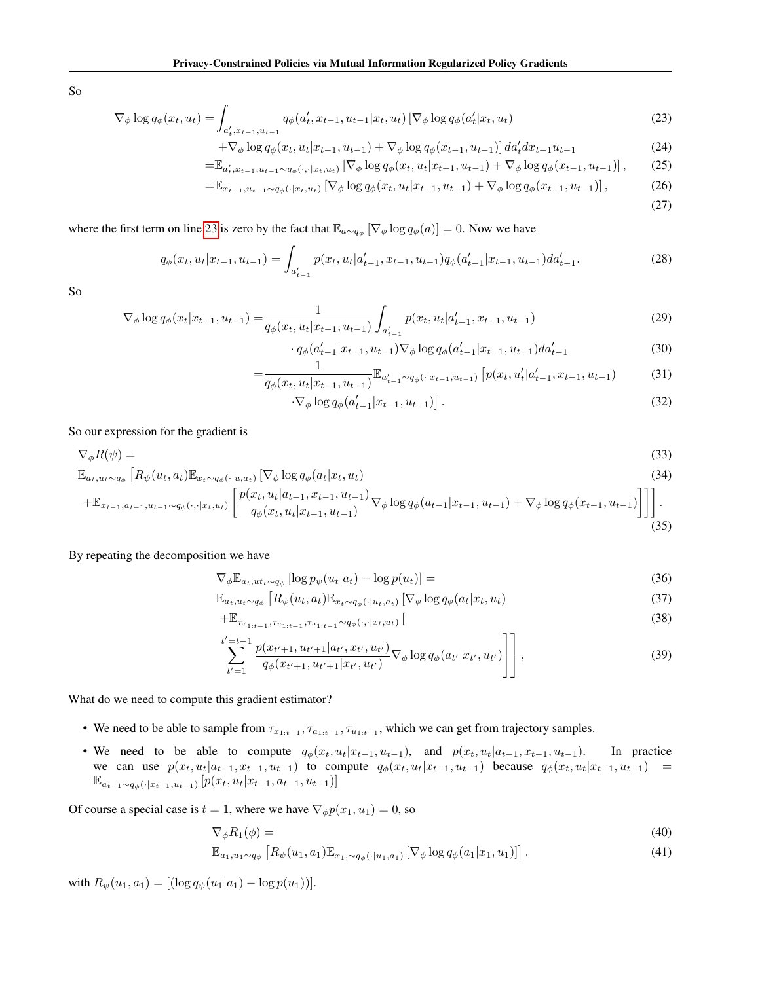So

$$
\nabla_{\phi} \log q_{\phi}(x_t, u_t) = \int_{a'_t, x_{t-1}, u_{t-1}} q_{\phi}(a'_t, x_{t-1}, u_{t-1} | x_t, u_t) \left[ \nabla_{\phi} \log q_{\phi}(a'_t | x_t, u_t) \right]
$$
(23)

$$
+\nabla_{\phi} \log q_{\phi}(x_t, u_t | x_{t-1}, u_{t-1}) + \nabla_{\phi} \log q_{\phi}(x_{t-1}, u_{t-1})] \, da'_t dx_{t-1} u_{t-1} \tag{24}
$$

$$
= \mathbb{E}_{a'_t, x_{t-1}, u_{t-1} \sim q_{\phi}(\cdot, \cdot | x_t, u_t)} \left[ \nabla_{\phi} \log q_{\phi}(x_t, u_t | x_{t-1}, u_{t-1}) + \nabla_{\phi} \log q_{\phi}(x_{t-1}, u_{t-1}) \right],\tag{25}
$$

$$
=\mathbb{E}_{x_{t-1},u_{t-1}\sim q_{\phi}(\cdot|x_t,u_t)}\left[\nabla_{\phi}\log q_{\phi}(x_t,u_t|x_{t-1},u_{t-1})+\nabla_{\phi}\log q_{\phi}(x_{t-1},u_{t-1})\right],\tag{26}
$$

<span id="page-11-0"></span>(27)

where the first term on line [23](#page-11-0) is zero by the fact that  $\mathbb{E}_{a \sim q_\phi} [\nabla_\phi \log q_\phi(a)] = 0$ . Now we have

$$
q_{\phi}(x_t, u_t | x_{t-1}, u_{t-1}) = \int_{a'_{t-1}} p(x_t, u_t | a'_{t-1}, x_{t-1}, u_{t-1}) q_{\phi}(a'_{t-1} | x_{t-1}, u_{t-1}) da'_{t-1}.
$$
\n(28)

So

$$
\nabla_{\phi} \log q_{\phi}(x_t | x_{t-1}, u_{t-1}) = \frac{1}{q_{\phi}(x_t, u_t | x_{t-1}, u_{t-1})} \int_{a'_{t-1}} p(x_t, u_t | a'_{t-1}, x_{t-1}, u_{t-1}) \tag{29}
$$

$$
\cdot q_{\phi}(a'_{t-1}|x_{t-1}, u_{t-1}) \nabla_{\phi} \log q_{\phi}(a'_{t-1}|x_{t-1}, u_{t-1}) da'_{t-1}
$$
\n
$$
(30)
$$

$$
= \frac{1}{q_{\phi}(x_t, u_t | x_{t-1}, u_{t-1})} \mathbb{E}_{a'_{t-1} \sim q_{\phi}(\cdot | x_{t-1}, u_{t-1})} \left[ p(x_t, u'_t | a'_{t-1}, x_{t-1}, u_{t-1}) \right]
$$
(31)

$$
\cdot \nabla_{\phi} \log q_{\phi}(a'_{t-1}|x_{t-1}, u_{t-1})]. \tag{32}
$$

So our expression for the gradient is

$$
\nabla_{\phi} R(\psi) =
$$
\n
$$
\mathbb{E} \left[ R_{\psi}(u, a) \mathbb{E} \left[ \left[ \left[ \nabla_{\psi} \log g_{\psi}(a) x, u_{\psi} \right] \right] \right] \right]
$$
\n(33)

$$
\mathbb{E}_{a_t, u_t \sim q_\phi} \left[ R_\psi(u_t, a_t) \mathbb{E}_{x_t \sim q_\phi(\cdot | u, a_t)} \left[ \nabla_\phi \log q_\phi(a_t | x_t, u_t) \right] \right]
$$
\n
$$
+ \mathbb{E}_{x_{t-1}, a_{t-1}, u_{t-1} \sim q_\phi(\cdot, \cdot | x_t, u_t)} \left[ \frac{p(x_t, u_t | a_{t-1}, x_{t-1}, u_{t-1})}{q_\phi(x_t, u_t | x_{t-1}, u_{t-1})} \nabla_\phi \log q_\phi(a_{t-1} | x_{t-1}, u_{t-1}) + \nabla_\phi \log q_\phi(x_{t-1}, u_{t-1}) \right] \right].
$$
\n(34)

<span id="page-11-1"></span>
$$
\begin{array}{c}\n(35)\n\end{array}
$$

### By repeating the decomposition we have

$$
\nabla_{\phi} \mathbb{E}_{a_t, ut_t \sim q_{\phi}} \left[ \log p_{\psi}(u_t | a_t) - \log p(u_t) \right] = \tag{36}
$$

$$
\mathbb{E}_{a_t, u_t \sim q_\phi} \left[ R_\psi(u_t, a_t) \mathbb{E}_{x_t \sim q_\phi(\cdot | u_t, a_t)} \left[ \nabla_\phi \log q_\phi(a_t | x_t, u_t) \right] \right] \tag{37}
$$

$$
+\mathbb{E}_{\tau_{x_{1:t-1}},\tau_{u_{1:t-1}},\tau_{a_{1:t-1}}\sim q_{\phi}(\cdot,\cdot|x_t,u_t)}\left[ (38)\right]
$$

$$
\sum_{t'=1}^{t'=t-1} \frac{p(x_{t'+1}, u_{t'+1}|a_{t'}, x_{t'}, u_{t'})}{q_{\phi}(x_{t'+1}, u_{t'+1}|x_{t'}, u_{t'})} \nabla_{\phi} \log q_{\phi}(a_{t'}|x_{t'}, u_{t'}) \Bigg]
$$
, (39)

What do we need to compute this gradient estimator?

- We need to be able to sample from  $\tau_{x_{1:t-1}}, \tau_{a_{1:t-1}}, \tau_{u_{1:t-1}}$ , which we can get from trajectory samples.
- We need to be able to compute  $q_{\phi}(x_t, u_t|x_{t-1}, u_{t-1})$ , and  $p(x_t, u_t|a_{t-1}, x_{t-1}, u_{t-1})$ . In practice we can use  $p(x_t, u_t|a_{t-1}, x_{t-1}, u_{t-1})$  to compute  $q_{\phi}(x_t, u_t|x_{t-1}, u_{t-1})$  because  $q_{\phi}(x_t, u_t|x_{t-1}, u_{t-1})$  =  $\mathbb{E}_{a_{t-1}\sim q_{\phi}(\cdot|x_{t-1},u_{t-1})}[p(x_t,u_t|x_{t-1},a_{t-1},u_{t-1})]$

Of course a special case is  $t = 1$ , where we have  $\nabla_{\phi} p(x_1, u_1) = 0$ , so

$$
\nabla_{\phi} R_1(\phi) = \tag{40}
$$

$$
\mathbb{E}_{a_1, u_1 \sim q_\phi} \left[ R_\psi(u_1, a_1) \mathbb{E}_{x_1, \sim q_\phi(\cdot | u_1, a_1)} \left[ \nabla_\phi \log q_\phi(a_1 | x_1, u_1) \right] \right]. \tag{41}
$$

with  $R_{\psi}(u_1, a_1) = [(\log q_{\psi}(u_1|a_1) - \log p(u_1))].$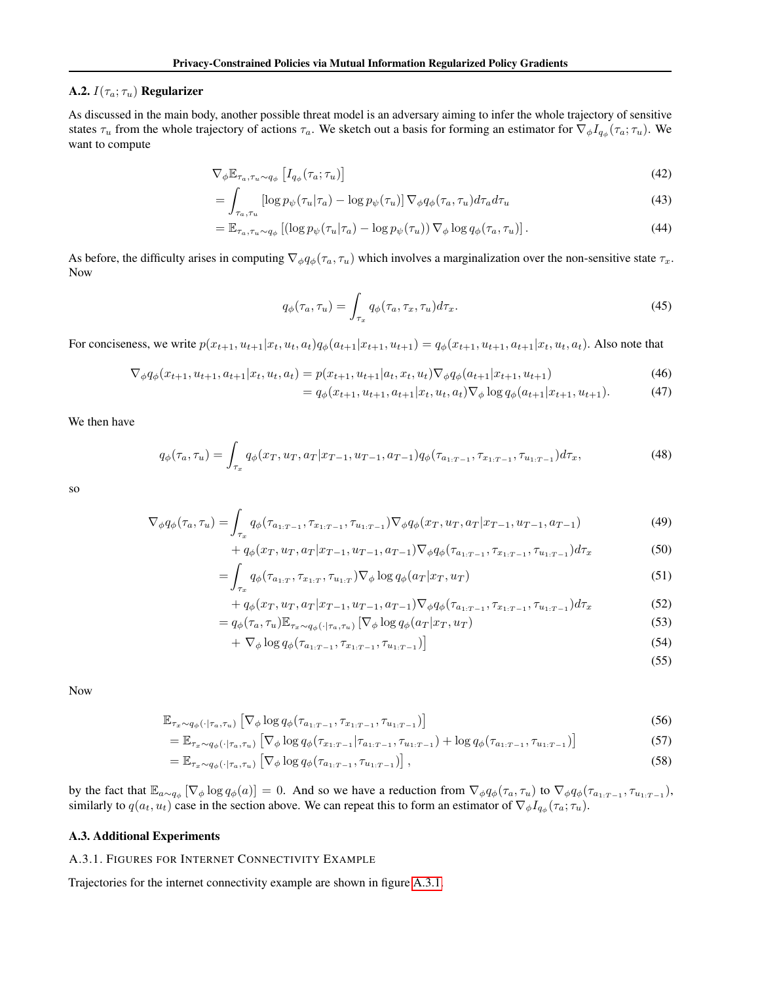### <span id="page-12-0"></span>A.2.  $I(\tau_a; \tau_u)$  Regularizer

As discussed in the main body, another possible threat model is an adversary aiming to infer the whole trajectory of sensitive states  $\tau_u$  from the whole trajectory of actions  $\tau_a$ . We sketch out a basis for forming an estimator for  $\nabla_\phi I_{q_\phi}(\tau_a; \tau_u)$ . We want to compute

$$
\nabla_{\phi} \mathbb{E}_{\tau_a, \tau_u \sim q_{\phi}} \left[ I_{q_{\phi}}(\tau_a; \tau_u) \right]
$$
 (42)

$$
= \int_{\tau_a, \tau_u} \left[ \log p_{\psi}(\tau_u | \tau_a) - \log p_{\psi}(\tau_u) \right] \nabla_{\phi} q_{\phi}(\tau_a, \tau_u) d\tau_a d\tau_u \tag{43}
$$

$$
= \mathbb{E}_{\tau_a, \tau_u \sim q_\phi} \left[ \left( \log p_\psi(\tau_u | \tau_a) - \log p_\psi(\tau_u) \right) \nabla_\phi \log q_\phi(\tau_a, \tau_u) \right]. \tag{44}
$$

As before, the difficulty arises in computing  $\nabla_{\phi} q_{\phi}(\tau_a, \tau_u)$  which involves a marginalization over the non-sensitive state  $\tau_x$ . Now

$$
q_{\phi}(\tau_a, \tau_u) = \int_{\tau_x} q_{\phi}(\tau_a, \tau_x, \tau_u) d\tau_x.
$$
\n(45)

For conciseness, we write  $p(x_{t+1}, u_{t+1}|x_t, u_t, a_t)q_{\phi}(a_{t+1}|x_{t+1}, u_{t+1}) = q_{\phi}(x_{t+1}, u_{t+1}, a_{t+1}|x_t, u_t, a_t)$ . Also note that

$$
\nabla_{\phi} q_{\phi}(x_{t+1}, u_{t+1}, a_{t+1}|x_t, u_t, a_t) = p(x_{t+1}, u_{t+1}|a_t, x_t, u_t) \nabla_{\phi} q_{\phi}(a_{t+1}|x_{t+1}, u_{t+1})
$$
\n(46)

$$
= q_{\phi}(x_{t+1}, u_{t+1}, a_{t+1}|x_t, u_t, a_t) \nabla_{\phi} \log q_{\phi}(a_{t+1}|x_{t+1}, u_{t+1}). \tag{47}
$$

We then have

$$
q_{\phi}(\tau_a, \tau_u) = \int_{\tau_x} q_{\phi}(x_T, u_T, a_T | x_{T-1}, u_{T-1}, a_{T-1}) q_{\phi}(\tau_{a_{1:T-1}}, \tau_{x_{1:T-1}}, \tau_{u_{1:T-1}}) d\tau_x,
$$
\n(48)

so

$$
\nabla_{\phi} q_{\phi}(\tau_a, \tau_u) = \int_{\tau_x} q_{\phi}(\tau_{a_{1:T-1}}, \tau_{x_{1:T-1}}, \tau_{u_{1:T-1}}) \nabla_{\phi} q_{\phi}(x_T, u_T, a_T | x_{T-1}, u_{T-1}, a_{T-1})
$$
(49)

$$
+ q_{\phi}(x_T, u_T, a_T | x_{T-1}, u_{T-1}, a_{T-1}) \nabla_{\phi} q_{\phi}(\tau_{a_{1:T-1}}, \tau_{x_{1:T-1}}, \tau_{u_{1:T-1}}) d\tau_x
$$
\n
$$
(50)
$$

$$
= \int_{\tau_x} q_{\phi}(\tau_{a_{1:T}}, \tau_{x_{1:T}}, \tau_{u_{1:T}}) \nabla_{\phi} \log q_{\phi}(a_T | x_T, u_T) \tag{51}
$$

+
$$
q_{\phi}(x_T, u_T, a_T | x_{T-1}, u_{T-1}, a_{T-1}) \nabla_{\phi} q_{\phi}(\tau_{a_{1:T-1}}, \tau_{x_{1:T-1}}, \tau_{u_{1:T-1}}) d\tau_x
$$
 (52)

$$
= q_{\phi}(\tau_a, \tau_u) \mathbb{E}_{\tau_x \sim q_{\phi}(\cdot | \tau_a, \tau_u)} \left[ \nabla_{\phi} \log q_{\phi}(a_T | x_T, u_T) \right] \tag{53}
$$

$$
+\nabla_{\phi} \log q_{\phi}(\tau_{a_{1:T-1}}, \tau_{x_{1:T-1}}, \tau_{u_{1:T-1}})] \tag{54}
$$

$$
(55)
$$

Now

$$
\mathbb{E}_{\tau_x \sim q_{\phi}(\cdot | \tau_a, \tau_u)} \left[ \nabla_{\phi} \log q_{\phi}(\tau_{a_{1:T-1}}, \tau_{x_{1:T-1}}, \tau_{u_{1:T-1}}) \right]
$$
\n
$$
\tag{56}
$$

$$
= \mathbb{E}_{\tau_x \sim q_{\phi}(\cdot | \tau_a, \tau_u)} \left[ \nabla_{\phi} \log q_{\phi}(\tau_{x_{1:T-1}} | \tau_{a_{1:T-1}}, \tau_{u_{1:T-1}}) + \log q_{\phi}(\tau_{a_{1:T-1}}, \tau_{u_{1:T-1}}) \right]
$$
(57)

$$
= \mathbb{E}_{\tau_x \sim q_\phi(\cdot | \tau_a, \tau_u)} \left[ \nabla_\phi \log q_\phi(\tau_{a_{1:T-1}}, \tau_{u_{1:T-1}}) \right], \tag{58}
$$

by the fact that  $\mathbb{E}_{a \sim q_{\phi}} [\nabla_{\phi} \log q_{\phi}(a)] = 0$ . And so we have a reduction from  $\nabla_{\phi} q_{\phi}(\tau_a, \tau_u)$  to  $\nabla_{\phi} q_{\phi}(\tau_{a_1:\tau_{-1}}, \tau_{u_1:\tau_{-1}})$ , similarly to  $q(a_t, u_t)$  case in the section above. We can repeat this to form an estimator of  $\nabla_{\phi} I_{q_{\phi}}(\tau_a; \tau_u)$ .

### <span id="page-12-1"></span>A.3. Additional Experiments

### A.3.1. FIGURES FOR INTERNET CONNECTIVITY EXAMPLE

Trajectories for the internet connectivity example are shown in figure [A.3.1.](#page-12-1)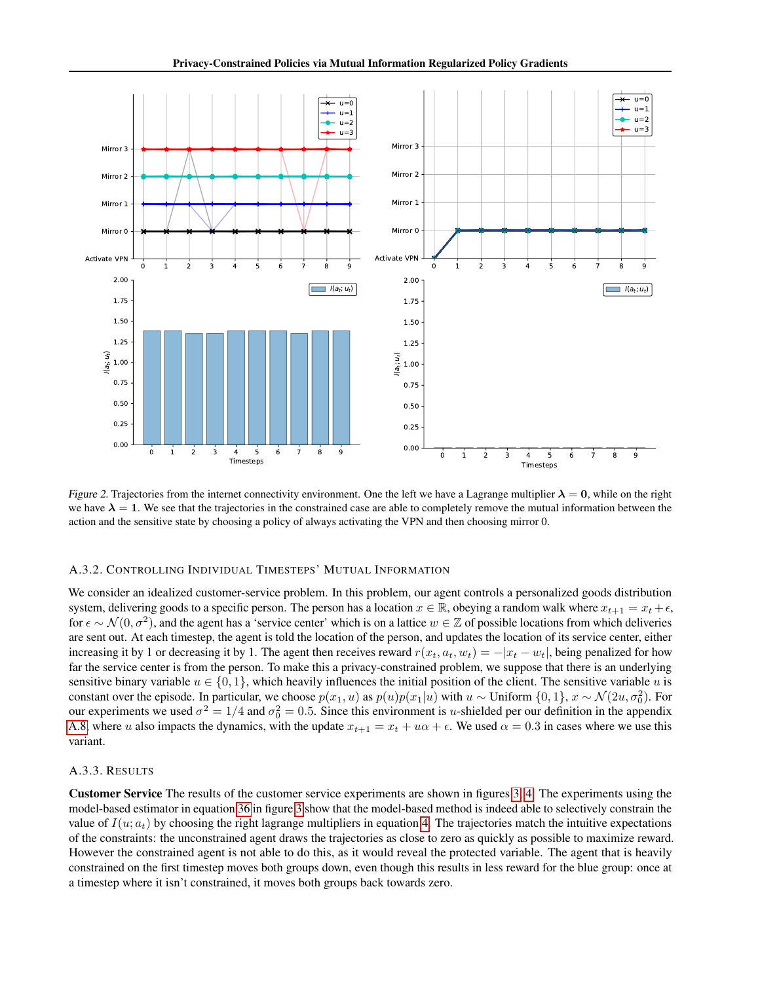

Figure 2. Trajectories from the internet connectivity environment. One the left we have a Lagrange multiplier  $\lambda = 0$ , while on the right we have  $\lambda = 1$ . We see that the trajectories in the constrained case are able to completely remove the mutual information between the action and the sensitive state by choosing a policy of always activating the VPN and then choosing mirror 0.

### A.3.2. CONTROLLING INDIVIDUAL TIMESTEPS' MUTUAL INFORMATION

We consider an idealized customer-service problem. In this problem, our agent controls a personalized goods distribution system, delivering goods to a specific person. The person has a location  $x \in \mathbb{R}$ , obeying a random walk where  $x_{t+1} = x_t + \epsilon$ , for  $\epsilon \sim \mathcal{N}(0, \sigma^2)$ , and the agent has a 'service center' which is on a lattice  $w \in \mathbb{Z}$  of possible locations from which deliveries are sent out. At each timestep, the agent is told the location of the person, and updates the location of its service center, either increasing it by 1 or decreasing it by 1. The agent then receives reward  $r(x_t, a_t, w_t) = -|x_t - w_t|$ , being penalized for how far the service center is from the person. To make this a privacy-constrained problem, we suppose that there is an underlying sensitive binary variable  $u \in \{0, 1\}$ , which heavily influences the initial position of the client. The sensitive variable u is constant over the episode. In particular, we choose  $p(x_1, u)$  as  $p(u)p(x_1|u)$  with  $u \sim$  Uniform  $\{0, 1\}$ ,  $x \sim \mathcal{N}(2u, \sigma_0^2)$ . For our experiments we used  $\sigma^2 = 1/4$  and  $\sigma_0^2 = 0.5$ . Since this environment is *u*-shielded per our definition in the appendix [A.8,](#page-15-0) where u also impacts the dynamics, with the update  $x_{t+1} = x_t + u\alpha + \epsilon$ . We used  $\alpha = 0.3$  in cases where we use this variant.

### A.3.3. RESULTS

Customer Service The results of the customer service experiments are shown in figures [3,](#page-14-0) [4.](#page-14-1) The experiments using the model-based estimator in equation [36](#page-11-1) in figure [3](#page-14-0) show that the model-based method is indeed able to selectively constrain the value of  $I(u; a_t)$  by choosing the right lagrange multipliers in equation [4.](#page-2-1) The trajectories match the intuitive expectations of the constraints: the unconstrained agent draws the trajectories as close to zero as quickly as possible to maximize reward. However the constrained agent is not able to do this, as it would reveal the protected variable. The agent that is heavily constrained on the first timestep moves both groups down, even though this results in less reward for the blue group: once at a timestep where it isn't constrained, it moves both groups back towards zero.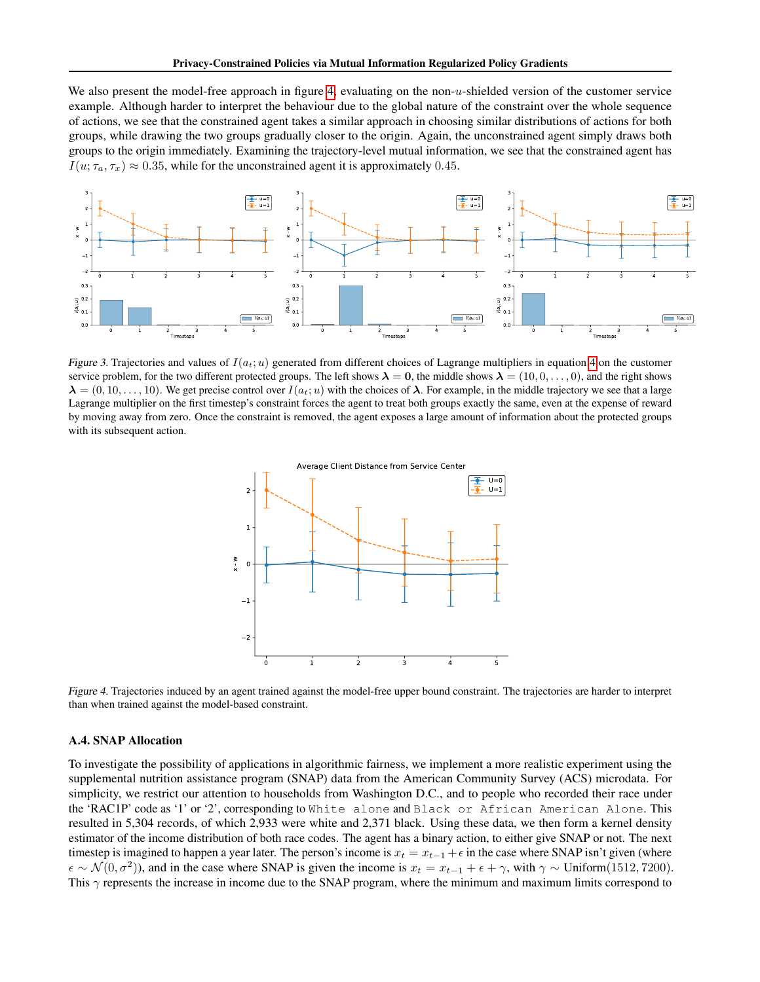We also present the model-free approach in figure [4,](#page-14-1) evaluating on the non- $u$ -shielded version of the customer service example. Although harder to interpret the behaviour due to the global nature of the constraint over the whole sequence of actions, we see that the constrained agent takes a similar approach in choosing similar distributions of actions for both groups, while drawing the two groups gradually closer to the origin. Again, the unconstrained agent simply draws both groups to the origin immediately. Examining the trajectory-level mutual information, we see that the constrained agent has  $I(u; \tau_a, \tau_x) \approx 0.35$ , while for the unconstrained agent it is approximately 0.45.



<span id="page-14-0"></span>Figure 3. Trajectories and values of  $I(a_t; u)$  generated from different choices of Lagrange multipliers in equation [4](#page-2-1) on the customer service problem, for the two different protected groups. The left shows  $\lambda = 0$ , the middle shows  $\lambda = (10, 0, \dots, 0)$ , and the right shows  $\lambda = (0, 10, \ldots, 10)$ . We get precise control over  $I(a_t; u)$  with the choices of  $\lambda$ . For example, in the middle trajectory we see that a large Lagrange multiplier on the first timestep's constraint forces the agent to treat both groups exactly the same, even at the expense of reward by moving away from zero. Once the constraint is removed, the agent exposes a large amount of information about the protected groups with its subsequent action.



<span id="page-14-1"></span>Figure 4. Trajectories induced by an agent trained against the model-free upper bound constraint. The trajectories are harder to interpret than when trained against the model-based constraint.

# A.4. SNAP Allocation

To investigate the possibility of applications in algorithmic fairness, we implement a more realistic experiment using the supplemental nutrition assistance program (SNAP) data from the American Community Survey (ACS) microdata. For simplicity, we restrict our attention to households from Washington D.C., and to people who recorded their race under the 'RAC1P' code as '1' or '2', corresponding to White alone and Black or African American Alone. This resulted in 5,304 records, of which 2,933 were white and 2,371 black. Using these data, we then form a kernel density estimator of the income distribution of both race codes. The agent has a binary action, to either give SNAP or not. The next timestep is imagined to happen a year later. The person's income is  $x_t = x_{t-1} + \epsilon$  in the case where SNAP isn't given (where  $\epsilon \sim \mathcal{N}(0, \sigma^2)$ ), and in the case where SNAP is given the income is  $x_t = x_{t-1} + \epsilon + \gamma$ , with  $\gamma \sim$  Uniform(1512, 7200). This  $\gamma$  represents the increase in income due to the SNAP program, where the minimum and maximum limits correspond to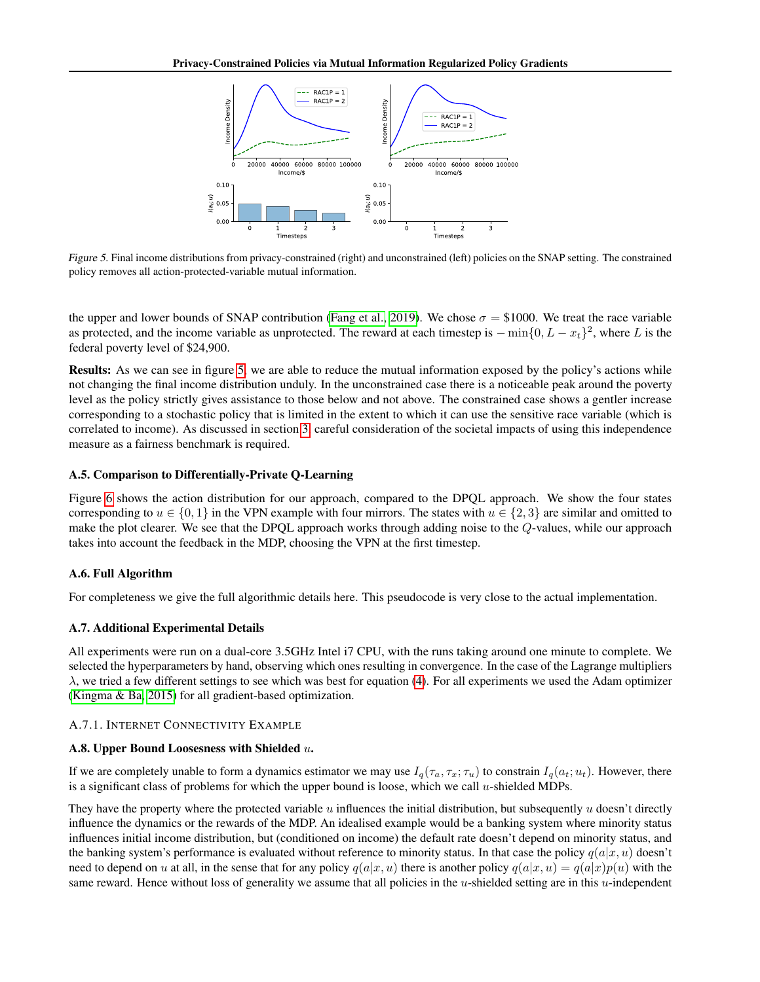

<span id="page-15-4"></span>Figure 5. Final income distributions from privacy-constrained (right) and unconstrained (left) policies on the SNAP setting. The constrained policy removes all action-protected-variable mutual information.

the upper and lower bounds of SNAP contribution [\(Fang et al., 2019\)](#page-8-19). We chose  $\sigma = \$1000$ . We treat the race variable as protected, and the income variable as unprotected. The reward at each timestep is  $-\min\{0, L - x_t\}^2$ , where L is the federal poverty level of \$24,900.

Results: As we can see in figure [5,](#page-15-4) we are able to reduce the mutual information exposed by the policy's actions while not changing the final income distribution unduly. In the unconstrained case there is a noticeable peak around the poverty level as the policy strictly gives assistance to those below and not above. The constrained case shows a gentler increase corresponding to a stochastic policy that is limited in the extent to which it can use the sensitive race variable (which is correlated to income). As discussed in section [3,](#page-2-2) careful consideration of the societal impacts of using this independence measure as a fairness benchmark is required.

# <span id="page-15-3"></span>A.5. Comparison to Differentially-Private Q-Learning

Figure [6](#page-16-0) shows the action distribution for our approach, compared to the DPQL approach. We show the four states corresponding to  $u \in \{0, 1\}$  in the VPN example with four mirrors. The states with  $u \in \{2, 3\}$  are similar and omitted to make the plot clearer. We see that the DPQL approach works through adding noise to the Q-values, while our approach takes into account the feedback in the MDP, choosing the VPN at the first timestep.

# <span id="page-15-1"></span>A.6. Full Algorithm

For completeness we give the full algorithmic details here. This pseudocode is very close to the actual implementation.

# <span id="page-15-2"></span>A.7. Additional Experimental Details

All experiments were run on a dual-core 3.5GHz Intel i7 CPU, with the runs taking around one minute to complete. We selected the hyperparameters by hand, observing which ones resulting in convergence. In the case of the Lagrange multipliers  $\lambda$ , we tried a few different settings to see which was best for equation [\(4\)](#page-2-1). For all experiments we used the Adam optimizer [\(Kingma & Ba, 2015\)](#page-8-20) for all gradient-based optimization.

# <span id="page-15-0"></span>A.7.1. INTERNET CONNECTIVITY EXAMPLE

# A.8. Upper Bound Loosesness with Shielded u.

If we are completely unable to form a dynamics estimator we may use  $I_q(\tau_a, \tau_x; \tau_u)$  to constrain  $I_q(a_t; u_t)$ . However, there is a significant class of problems for which the upper bound is loose, which we call  $u$ -shielded MDPs.

They have the property where the protected variable  $u$  influences the initial distribution, but subsequently  $u$  doesn't directly influence the dynamics or the rewards of the MDP. An idealised example would be a banking system where minority status influences initial income distribution, but (conditioned on income) the default rate doesn't depend on minority status, and the banking system's performance is evaluated without reference to minority status. In that case the policy  $q(a|x, u)$  doesn't need to depend on u at all, in the sense that for any policy  $q(a|x, u)$  there is another policy  $q(a|x, u) = q(a|x)p(u)$  with the same reward. Hence without loss of generality we assume that all policies in the  $u$ -shielded setting are in this  $u$ -independent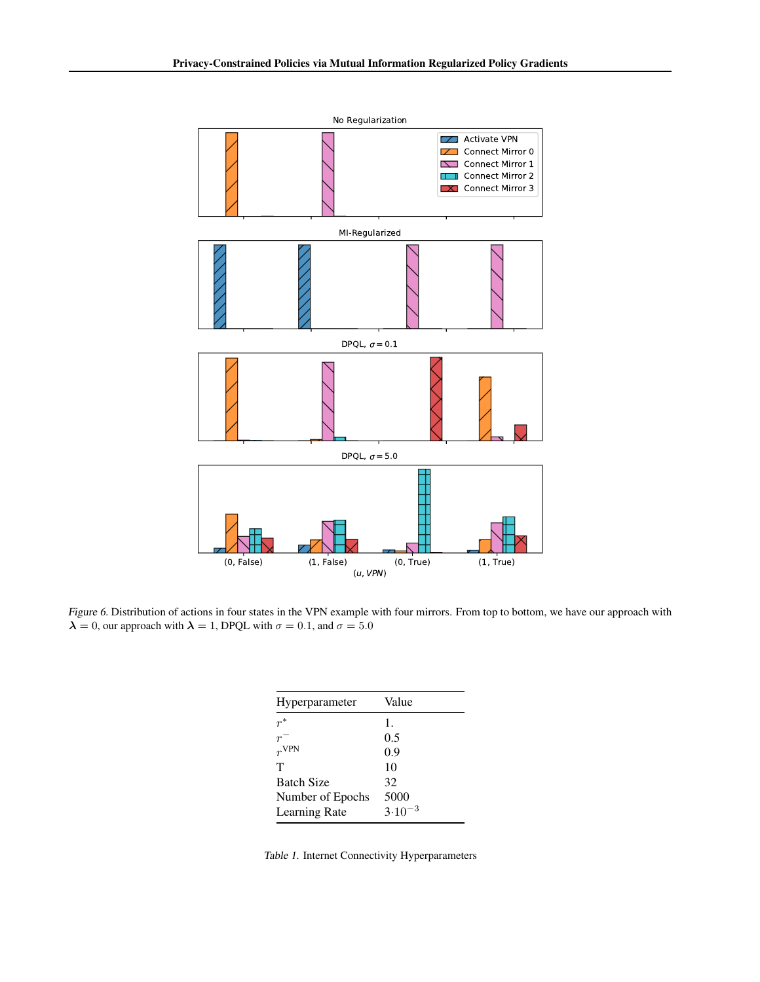

<span id="page-16-0"></span>Figure 6. Distribution of actions in four states in the VPN example with four mirrors. From top to bottom, we have our approach with  $\lambda = 0$ , our approach with  $\lambda = 1$ , DPQL with  $\sigma = 0.1$ , and  $\sigma = 5.0$ 

| Hyperparameter    | Value          |
|-------------------|----------------|
| $r^*$             | $\mathbf{1}$ . |
|                   | 0.5            |
| $rv$ VPN          | 0.9            |
| т                 | 10             |
| <b>Batch Size</b> | 32             |
| Number of Epochs  | 5000           |
| Learning Rate     | $3.10^{-3}$    |

Table 1. Internet Connectivity Hyperparameters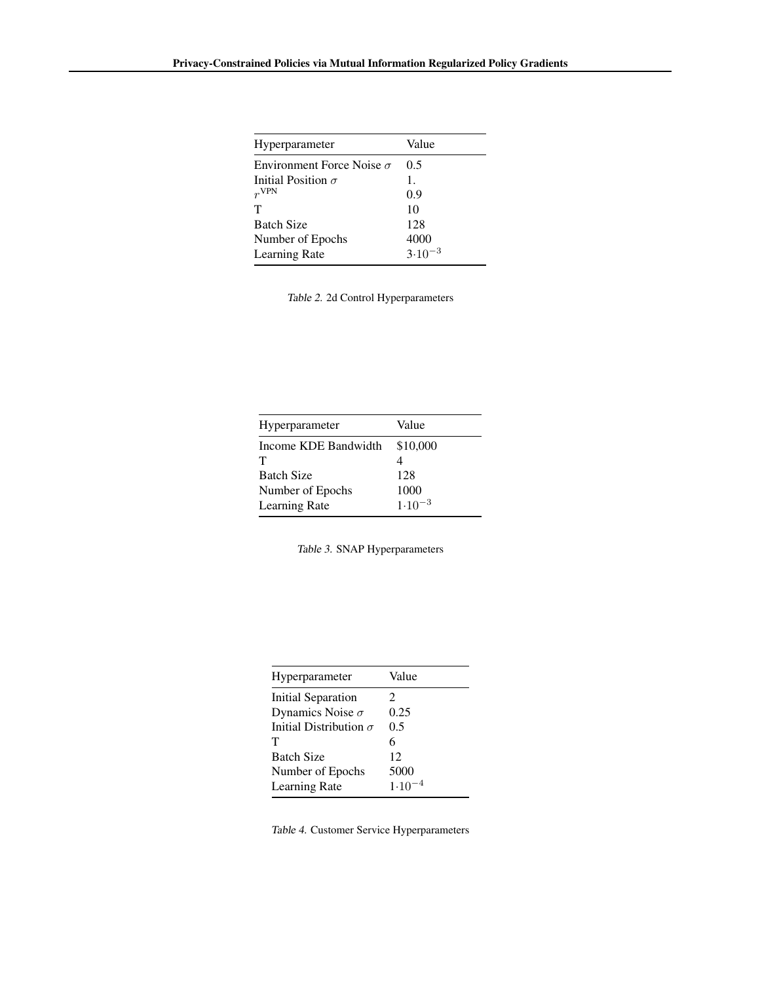| Hyperparameter                   | Value       |
|----------------------------------|-------------|
| Environment Force Noise $\sigma$ | 0.5         |
| Initial Position $\sigma$        | 1.          |
| $r^{\rm VPN}$                    | 0.9         |
| Τ                                | 10          |
| <b>Batch Size</b>                | 128         |
| Number of Epochs                 | 4000        |
| Learning Rate                    | $3.10^{-3}$ |
|                                  |             |

Table 2. 2d Control Hyperparameters

| Hyperparameter       | Value       |
|----------------------|-------------|
|                      |             |
| Income KDE Bandwidth | \$10,000    |
| т                    |             |
| <b>Batch Size</b>    | 128         |
| Number of Epochs     | 1000        |
| <b>Learning Rate</b> | $1.10^{-3}$ |

| Hyperparameter                | Value      |
|-------------------------------|------------|
| Initial Separation            | 2          |
| Dynamics Noise $\sigma$       | 0.25       |
| Initial Distribution $\sigma$ | 0.5        |
| т                             | 6          |
| <b>Batch Size</b>             | 12         |
| Number of Epochs              | 5000       |
| <b>Learning Rate</b>          | $1.10^{-}$ |
|                               |            |

Table 4. Customer Service Hyperparameters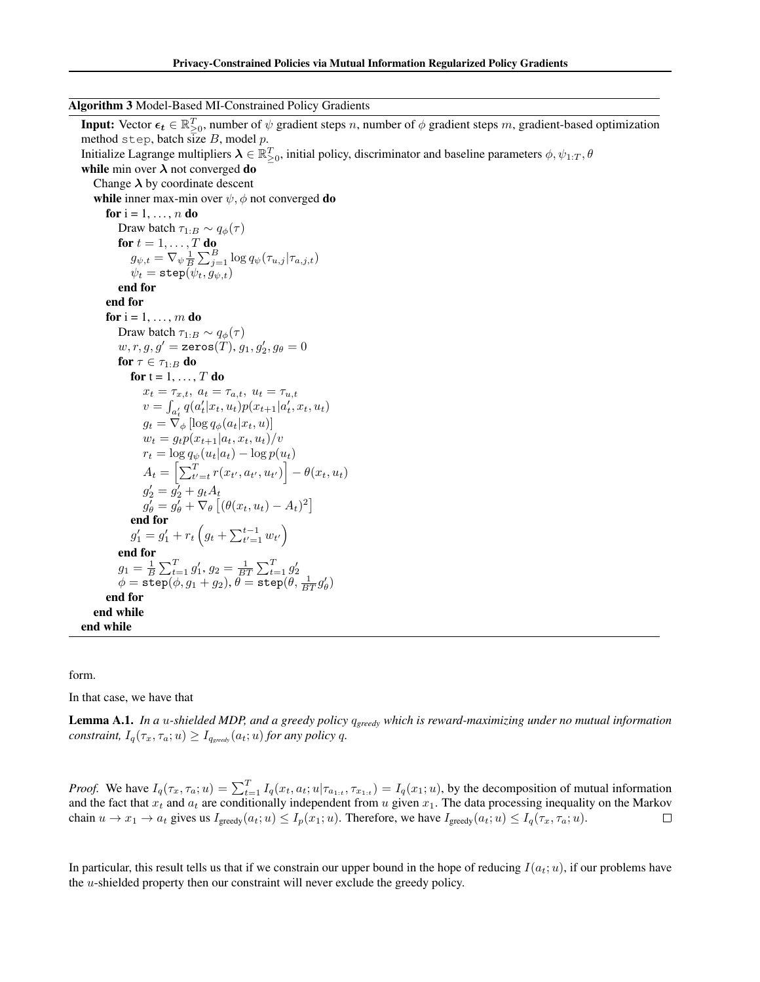Algorithm 3 Model-Based MI-Constrained Policy Gradients

**Input:** Vector  $\epsilon_t \in \mathbb{R}_{\geq 0}^T$ , number of  $\psi$  gradient steps n, number of  $\phi$  gradient steps m, gradient-based optimization method step, batch size  $B$ , model  $p$ . Initialize Lagrange multipliers  $\bm{\lambda}\in\mathbb{R}_{\geq0}^T$ , initial policy, discriminator and baseline parameters  $\phi, \psi_{1:T}, \theta$ while min over  $\lambda$  not converged do Change  $\lambda$  by coordinate descent while inner max-min over  $\psi$ ,  $\phi$  not converged do for  $i = 1, \ldots, n$  do Draw batch  $\tau_{1:B} \sim q_{\phi}(\tau)$ for  $t=1,\ldots,T$  do  $g_{\psi,t} = \nabla_{\psi} \frac{1}{B} \sum_{j=1}^{B} \log q_{\psi}(\tau_{u,j} | \tau_{a,j,t})$  $\psi_t = \mathtt{step}(\psi_t, g_{\psi,t})$ end for end for for  $i = 1, \ldots, m$  do Draw batch  $\tau_{1:B} \sim q_{\phi}(\tau)$  $w,r,g,g'=\texttt{zeros}(T), g_1, g_2', g_\theta=0$ for  $\tau \in \tau_{1:B}$  do for  $t = 1, \ldots, T$  do  $x_t = \tau_{x,t}, \ a_t = \tau_{a,t}, \ u_t = \tau_{u,t}$  $v = \int_{a'_t} q(a'_t | x_t, u_t) p(x_{t+1} | a'_t, x_t, u_t)$  $g_t = \nabla_{\phi} \left[ \log q_{\phi}(a_t | x_t, u) \right]$  $w_t = g_t p(x_{t+1}|a_t, x_t, u_t)/v$  $r_t = \log q_\psi(u_t|a_t) - \log p(u_t)$  $A_t = \left[ \sum_{t'=t}^{T} r(x_{t'}, a_{t'}, u_{t'}) \right] - \theta(x_t, u_t)$  $g'_2 = \bar{g'_2} + g_t A_t$  $g'_{\theta} = g'_{\theta} + \nabla_{\theta} \left[ (\theta(x_t, u_t) - A_t)^2 \right]$ end for  $g'_1 = g'_1 + r_t \left( g_t + \sum_{t'=1}^{t-1} w_{t'} \right)$ end for  $g_1 = \frac{1}{B} \sum_{t=1}^{T} g'_1, g_2 = \frac{1}{BT} \sum_{t=1}^{T} g'_2$ <br>  $\phi = \text{step}(\phi, g_1 + g_2), \theta = \text{step}(\theta, \frac{1}{BT}g'_\theta)$ end for end while end while

form.

In that case, we have that

Lemma A.1. *In a* u*-shielded MDP, and a greedy policy* q*greedy which is reward-maximizing under no mutual information constraint,*  $I_q(\tau_x, \tau_a; u) \geq I_{q_{greedy}}(a_t; u)$  *for any policy* q.

*Proof.* We have  $I_q(\tau_x, \tau_a; u) = \sum_{t=1}^T I_q(x_t, a_t; u | \tau_{a_{1:t}}, \tau_{x_{1:t}}) = I_q(x_1; u)$ , by the decomposition of mutual information and the fact that  $x_t$  and  $a_t$  are conditionally independent from u given  $x_1$ . The data processing inequality on the Markov chain  $u \to x_1 \to a_t$  gives us  $I_{\text{greedy}}(a_t; u) \leq I_p(x_1; u)$ . Therefore, we have  $I_{\text{greedy}}(a_t; u) \leq I_q(\tau_x, \tau_a; u)$ . □

In particular, this result tells us that if we constrain our upper bound in the hope of reducing  $I(a_t; u)$ , if our problems have the u-shielded property then our constraint will never exclude the greedy policy.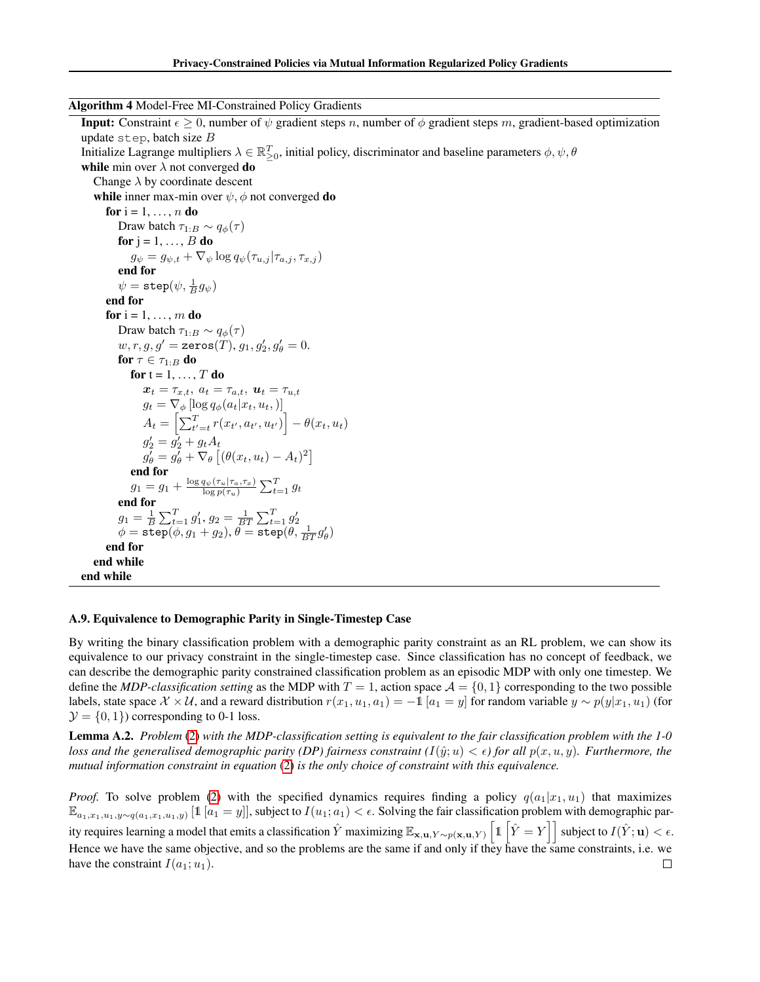Algorithm 4 Model-Free MI-Constrained Policy Gradients

**Input:** Constraint  $\epsilon \geq 0$ , number of  $\psi$  gradient steps n, number of  $\phi$  gradient steps m, gradient-based optimization update step, batch size  $B$ Initialize Lagrange multipliers  $\lambda \in \mathbb{R}_{\geq 0}^T$ , initial policy, discriminator and baseline parameters  $\phi, \psi, \theta$ while min over  $\lambda$  not converged do Change  $\lambda$  by coordinate descent while inner max-min over  $\psi$ ,  $\phi$  not converged do for  $i = 1, \ldots, n$  do Draw batch  $\tau_{1:B} \sim q_{\phi}(\tau)$ for  $j = 1, \ldots, B$  do  $g_{\psi} = g_{\psi,t} + \nabla_{\psi} \log q_{\psi}(\tau_{u,j} | \tau_{a,j}, \tau_{x,j})$ end for  $\psi = \mathtt{step}(\psi,\frac{1}{B}g_\psi)$ end for for  $i = 1, \ldots, m$  do Draw batch  $\tau_{1:B} \sim q_{\phi}(\tau)$  $w, r, g, g' = \texttt{zeros}(T), g_1, g_2', g_\theta' = 0.$ for  $\tau \in \tau_{1:B}$  do for  $t = 1, \ldots, T$  do  $\boldsymbol{x}_t = \tau_{x,t}, \; a_t = \tau_{a,t}, \; \boldsymbol{u}_t = \tau_{u,t}$  $g_t = \nabla_{\phi} \left[ \log q_{\phi}(a_t | x_t, u_t, \right) \right]$  $A_t = \left[ \sum_{t'=t}^{T} r(x_{t'}, a_{t'}, u_{t'}) \right] - \theta(x_t, u_t)$  $g'_2 = \bar{g'_2} + g_t A_t$  $g'_{\theta} = g'_{\theta} + \nabla_{\theta} \left[ (\theta(x_t, u_t) - A_t)^2 \right]$ end for  $g_1 = g_1 + \frac{\log q_\psi(\tau_u | \tau_a, \tau_x)}{\log q(\tau_u)}$  $\frac{q_{\psi}(\tau_{u}|\tau_{a},\tau_{x})}{\log p(\tau_{u})}\sum_{t=1}^{T}g_{t}$ end for  $g_1 = \frac{1}{B} \sum_{t=1}^{T} g'_1, g_2 = \frac{1}{BT} \sum_{t=1}^{T} g'_2$ <br>  $\phi = \text{step}(\phi, g_1 + g_2), \theta = \text{step}(\theta, \frac{1}{BT}g'_\theta)$ end for end while end while

### <span id="page-19-0"></span>A.9. Equivalence to Demographic Parity in Single-Timestep Case

By writing the binary classification problem with a demographic parity constraint as an RL problem, we can show its equivalence to our privacy constraint in the single-timestep case. Since classification has no concept of feedback, we can describe the demographic parity constrained classification problem as an episodic MDP with only one timestep. We define the *MDP-classification setting* as the MDP with  $T = 1$ , action space  $\mathcal{A} = \{0, 1\}$  corresponding to the two possible labels, state space  $\mathcal{X} \times \mathcal{U}$ , and a reward distribution  $r(x_1, u_1, a_1) = -1$  [ $a_1 = y$ ] for random variable  $y \sim p(y|x_1, u_1)$  (for  $\mathcal{Y} = \{0, 1\}$  corresponding to 0-1 loss.

Lemma A.2. *Problem* [\(2\)](#page-1-0) *with the MDP-classification setting is equivalent to the fair classification problem with the 1-0 loss and the generalised demographic parity (DP) fairness constraint*  $(I(\hat{y}; u) < \epsilon)$  *for all*  $p(x, u, y)$ *. Furthermore, the mutual information constraint in equation* [\(2\)](#page-1-0) *is the only choice of constraint with this equivalence.*

*Proof.* To solve problem [\(2\)](#page-1-0) with the specified dynamics requires finding a policy  $q(a_1|x_1, u_1)$  that maximizes  $\mathbb{E}_{a_1,x_1,u_1,y\sim q(a_1,x_1,u_1,y)}$  [1  $[a_1=y]$ ], subject to  $I(u_1;a_1)<\epsilon$ . Solving the fair classification problem with demographic parity requires learning a model that emits a classification  $\hat{Y}$  maximizing  $\mathbb{E}_{\mathbf{x},\mathbf{u},Y\sim p(\mathbf{x},\mathbf{u},Y)}\left[ \mathbb{1}\left[\hat{Y}=Y\right]\right]$  subject to  $I(\hat{Y};\mathbf{u})<\epsilon.$ Hence we have the same objective, and so the problems are the same if and only if they have the same constraints, i.e. we have the constraint  $I(a_1; u_1)$ .  $\Box$